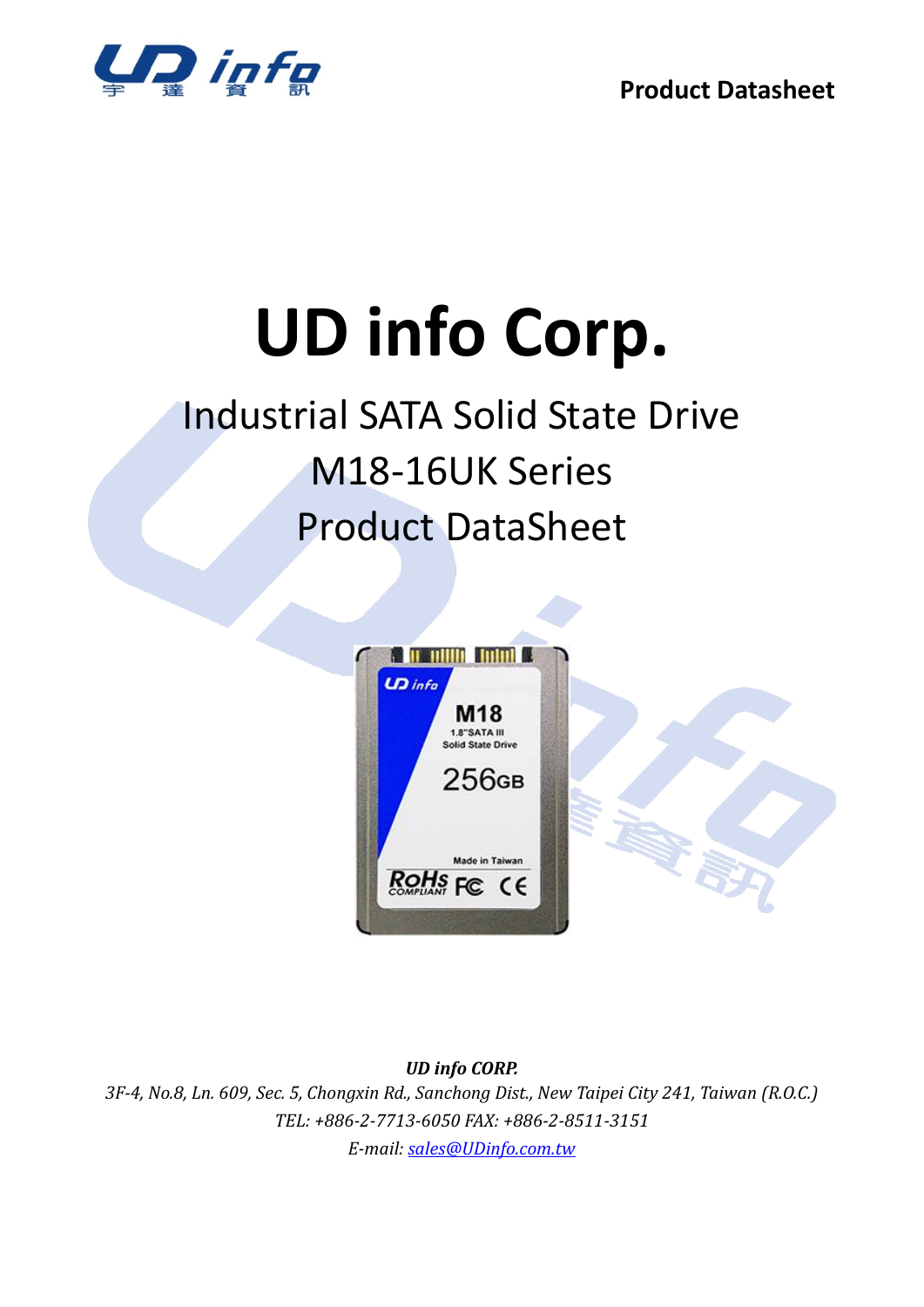

# **UD info Corp.**

## Industrial SATA Solid State Drive M18-16UK Series Product DataSheet



*UD info CORP.*

*3F-4, No.8, Ln. 609, Sec. 5, Chongxin Rd., Sanchong Dist., New Taipei City 241, Taiwan (R.O.C.) TEL: +886-2-7713-6050 FAX: +886-2-8511-3151 E-mail: [sales@UDinfo.com.tw](mailto:sales@UDinfo.com.tw)*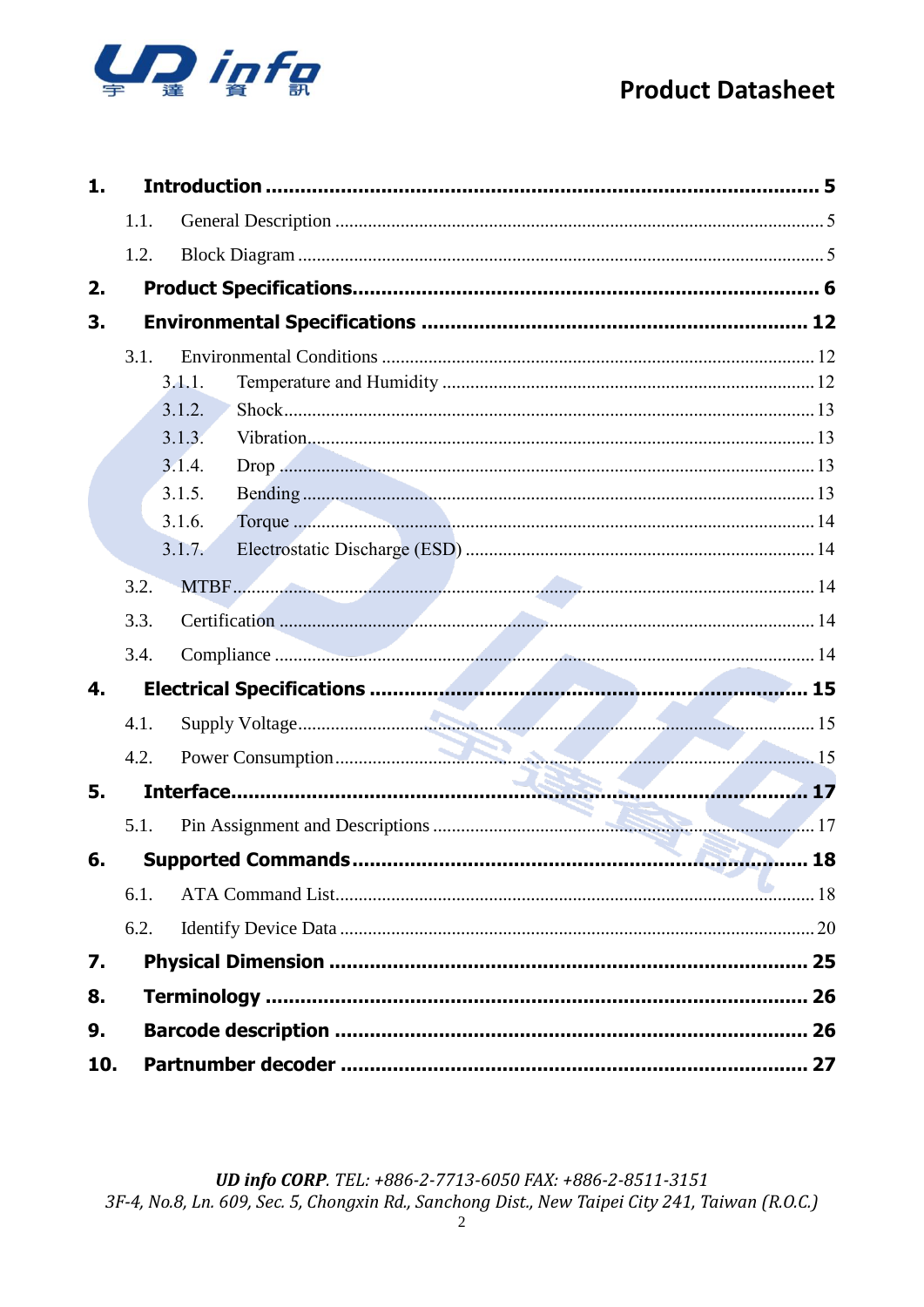

| 1.  |        |    |
|-----|--------|----|
|     | 1.1.   |    |
|     | 1.2.   |    |
| 2.  |        |    |
| 3.  |        |    |
|     | 3.1.   |    |
|     | 3.1.1. |    |
|     | 3.1.2. |    |
|     | 3.1.3. |    |
|     | 3.1.4. |    |
|     | 3.1.5. |    |
|     | 3.1.6. |    |
|     | 3.1.7. |    |
|     | 3.2.   |    |
|     | 3.3.   |    |
|     | 3.4.   |    |
| 4.  |        |    |
|     | 4.1.   |    |
|     | 4.2.   |    |
| 5.  |        |    |
|     | 5.1.   |    |
| 6.  |        | 18 |
|     | 6.1.   |    |
|     | 6.2.   |    |
| 7.  |        |    |
| 8.  |        |    |
| 9.  |        |    |
| 10. |        | 27 |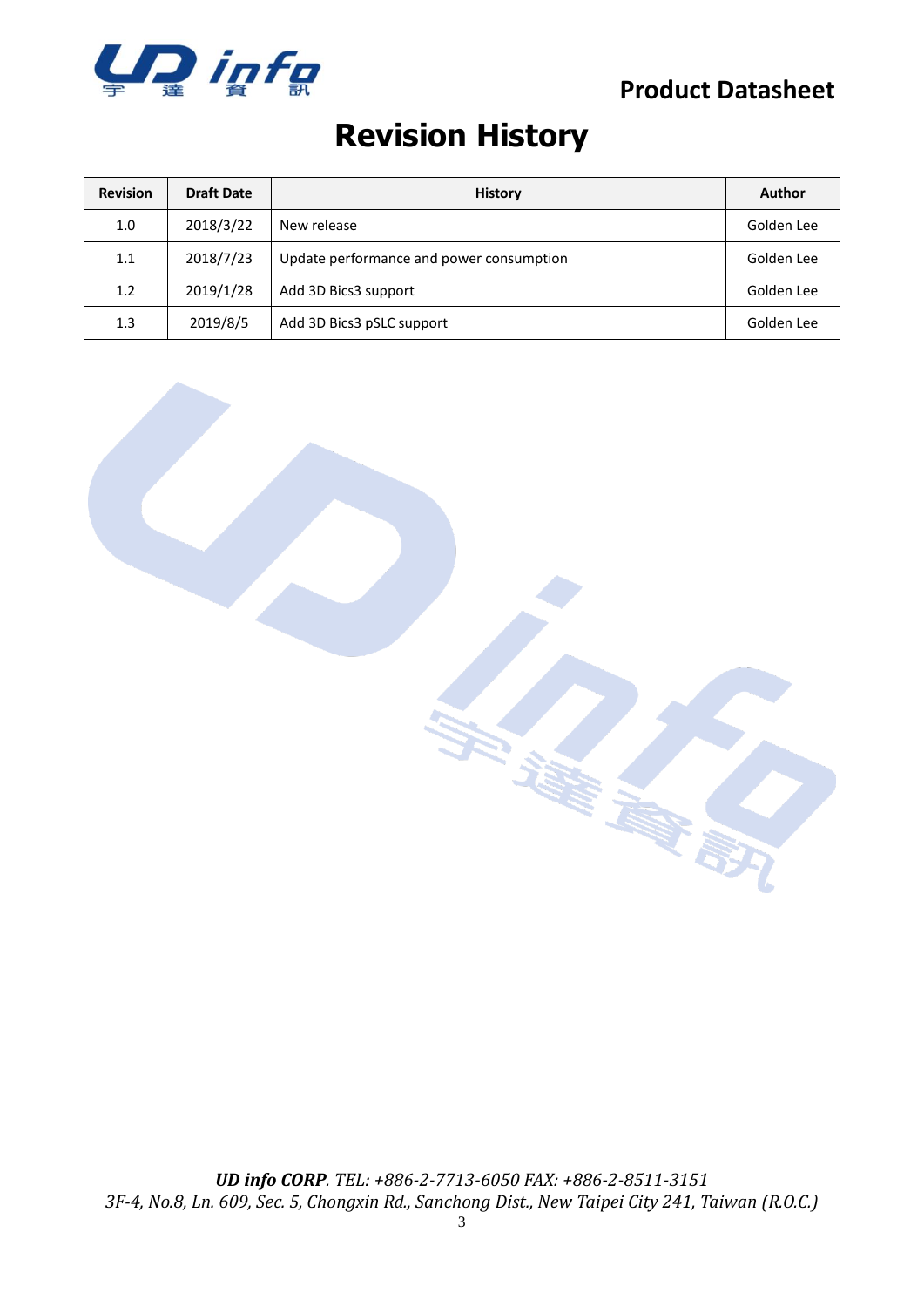

## **Revision History**

| <b>Revision</b> | <b>Draft Date</b> | <b>History</b>                           | Author     |
|-----------------|-------------------|------------------------------------------|------------|
| 1.0             | 2018/3/22         | New release                              | Golden Lee |
| 1.1             | 2018/7/23         | Update performance and power consumption | Golden Lee |
| 1.2             | 2019/1/28         | Add 3D Bics3 support                     | Golden Lee |
| 1.3             | 2019/8/5          | Add 3D Bics3 pSLC support                | Golden Lee |

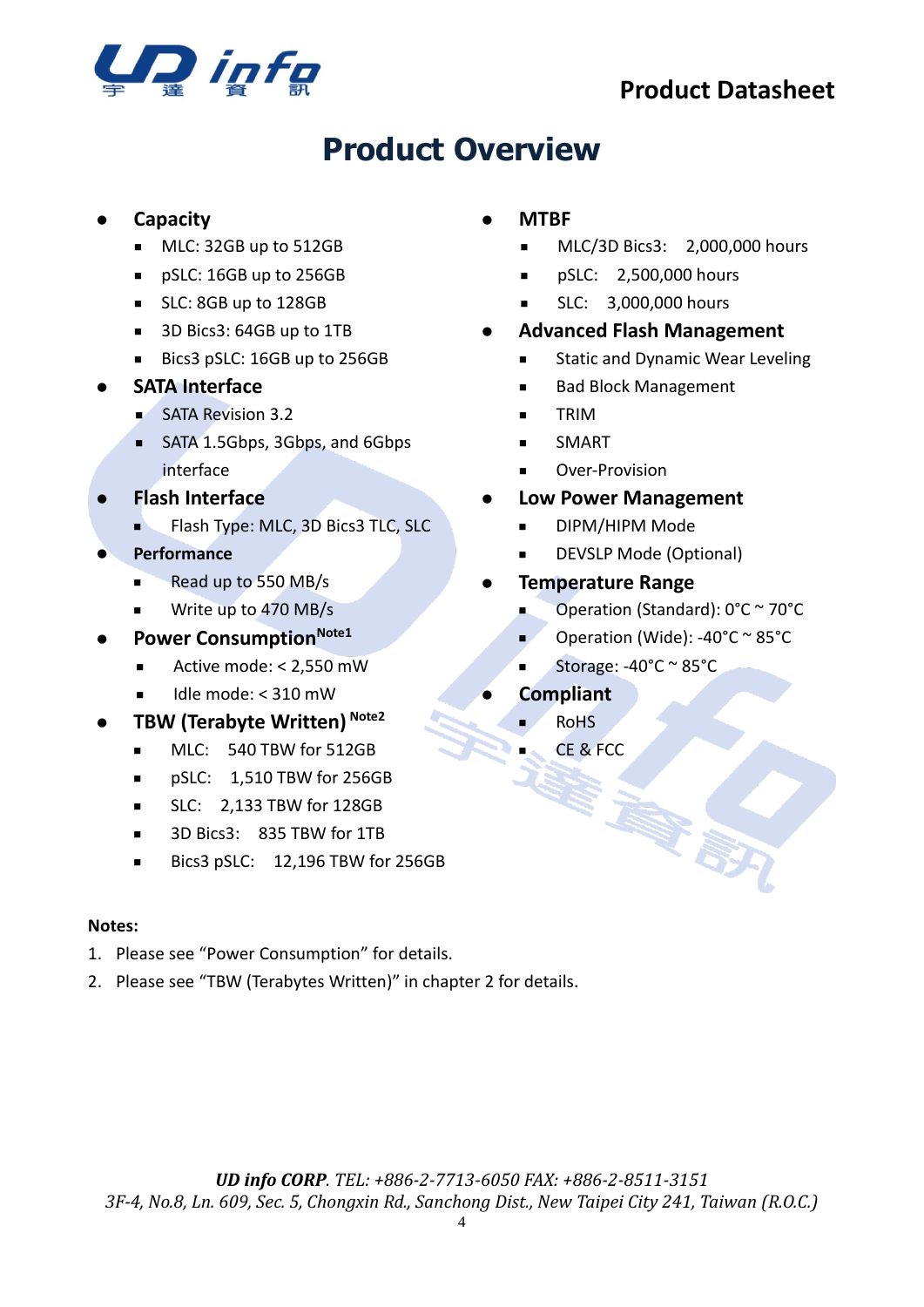

## **Product Overview**

#### ⚫ **Capacity**

- MLC: 32GB up to 512GB
- pSLC: 16GB up to 256GB
- SLC: 8GB up to 128GB
- 3D Bics3: 64GB up to 1TB
- Bics3 pSLC: 16GB up to 256GB

#### ⚫ **SATA Interface**

- SATA Revision 3.2
- SATA 1.5Gbps, 3Gbps, and 6Gbps interface
- ⚫ **Flash Interface**
	- Flash Type: MLC, 3D Bics3 TLC, SLC
- ⚫ **Performance**
	- Read up to 550 MB/s
	- Write up to 470 MB/s
- **Power Consumption**Note1
	- Active mode: < 2,550 mW
	- $I$ dle mode: < 310 mW
- ⚫ **TBW (Terabyte Written) Note2**
	- MLC: 540 TBW for 512GB
	- pSLC: 1,510 TBW for 256GB
	- SLC: 2,133 TBW for 128GB
	- 3D Bics3: 835 TBW for 1TB
	- Bics3 pSLC: 12.196 TBW for 256GB

#### **Notes:**

- 1. Please see "[Power Consumption](#page-14-2)" for details.
- 2. Please see "TBW (Terabytes Written)" in chapter 2 for details.

#### ⚫ **MTBF**

- MLC/3D Bics3: 2,000,000 hours
- pSLC: 2,500,000 hours
- **■** SLC: 3,000,000 hours
- ⚫ **Advanced Flash Management**
	- Static and Dynamic Wear Leveling
	- **Bad Block Management**
	- TRIM
	- **SMART**
	- Over-Provision
- ⚫ **Low Power Management**
	- DIPM/HIPM Mode
	- DEVSLP Mode (Optional)
- ⚫ **Temperature Range**
	- Operation (Standard): 0°C ~ 70°C
	- Operation (Wide): -40°C ~ 85°C
	- Storage:  $-40^{\circ}$ C ~ 85 $^{\circ}$ C
- ⚫ **Compliant**
	- RoHS
		- CE & FCC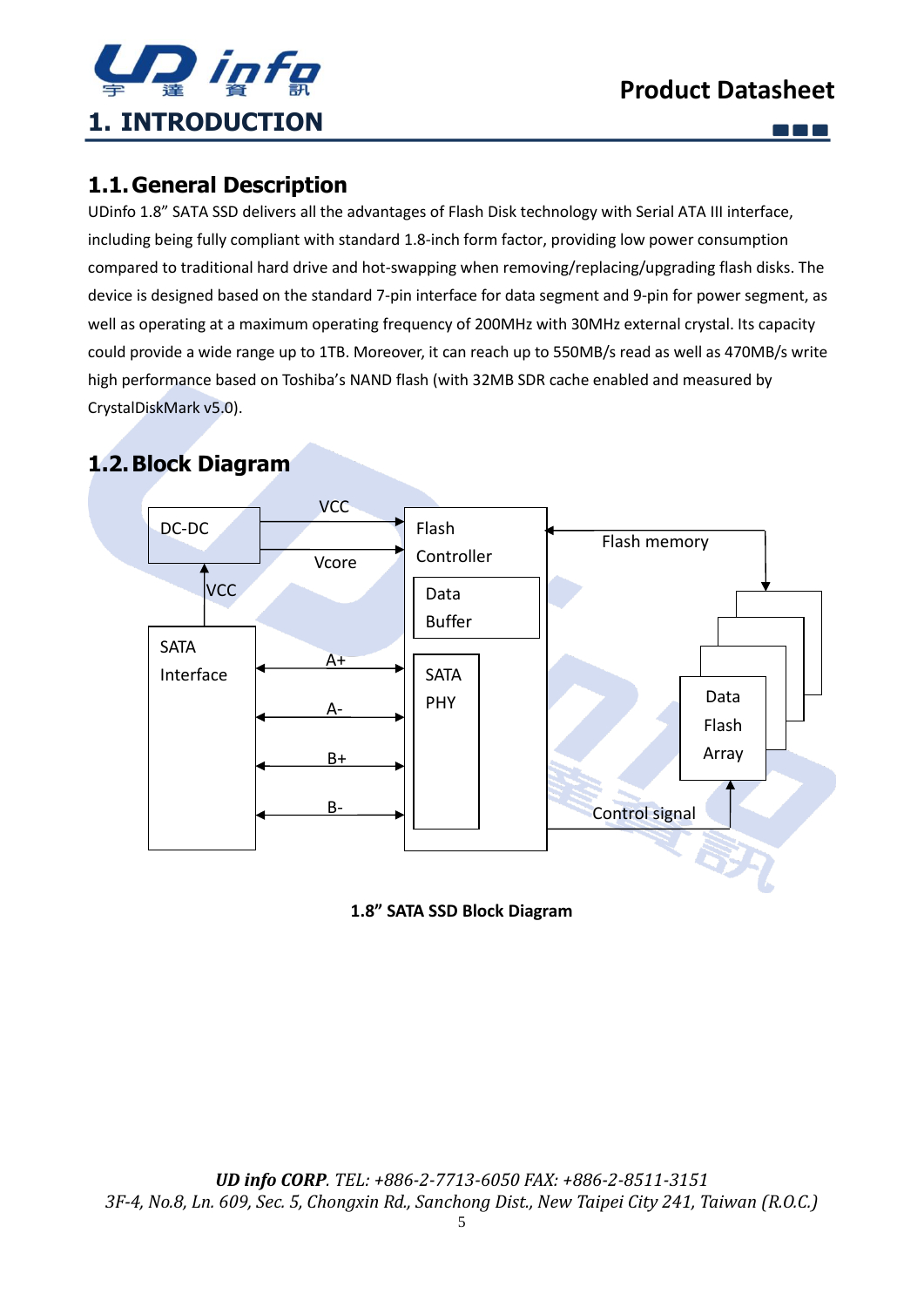

m m m

### <span id="page-4-1"></span><span id="page-4-0"></span>**1.1.General Description**

UDinfo 1.8" SATA SSD delivers all the advantages of Flash Disk technology with Serial ATA III interface, including being fully compliant with standard 1.8-inch form factor, providing low power consumption compared to traditional hard drive and hot-swapping when removing/replacing/upgrading flash disks. The device is designed based on the standard 7-pin interface for data segment and 9-pin for power segment, as well as operating at a maximum operating frequency of 200MHz with 30MHz external crystal. Its capacity could provide a wide range up to 1TB. Moreover, it can reach up to 550MB/s read as well as 470MB/s write high performance based on Toshiba's NAND flash (with 32MB SDR cache enabled and measured by CrystalDiskMark v5.0).

## <span id="page-4-2"></span>**1.2.Block Diagram**



**1.8" SATA SSD Block Diagram**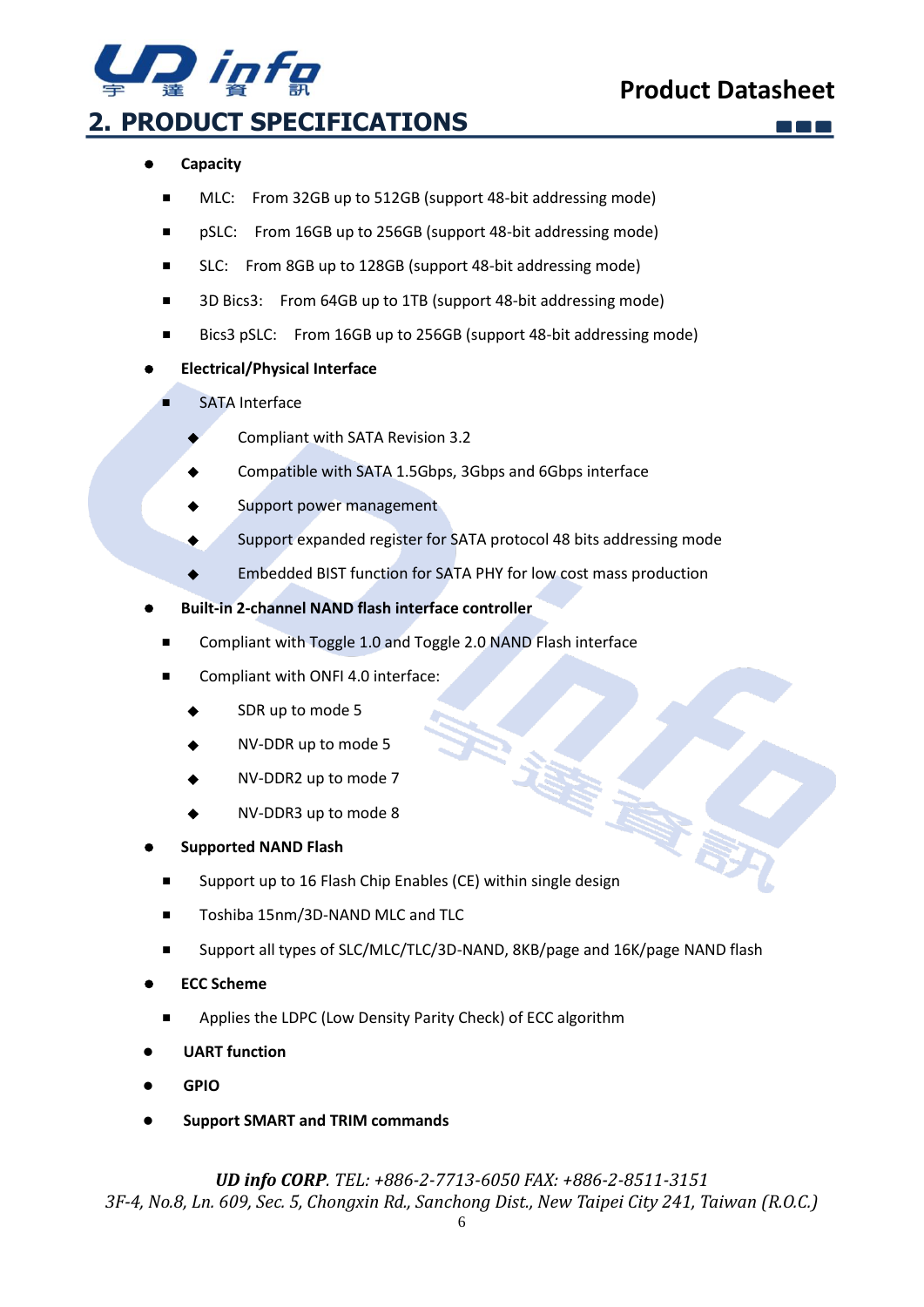

## <span id="page-5-0"></span>**2. PRODUCT SPECIFICATIONS**

#### ⚫ **Capacity**

- MLC: From 32GB up to 512GB (support 48-bit addressing mode)
- pSLC: From 16GB up to 256GB (support 48-bit addressing mode)
- SLC: From 8GB up to 128GB (support 48-bit addressing mode)
- 3D Bics3: From 64GB up to 1TB (support 48-bit addressing mode)
- Bics3 pSLC: From 16GB up to 256GB (support 48-bit addressing mode)

#### ⚫ **Electrical/Physical Interface**

- **SATA Interface** 
	- Compliant with SATA Revision 3.2
	- Compatible with SATA 1.5Gbps, 3Gbps and 6Gbps interface
	- Support power management
	- ◆ Support expanded register for SATA protocol 48 bits addressing mode
	- Embedded BIST function for SATA PHY for low cost mass production
- ⚫ **Built-in 2-channel NAND flash interface controller**
	- Compliant with Toggle 1.0 and Toggle 2.0 NAND Flash interface
	- Compliant with ONFI 4.0 interface:
		- SDR up to mode 5
		- NV-DDR up to mode 5
		- NV-DDR2 up to mode 7
		- NV-DDR3 up to mode 8

#### ⚫ **Supported NAND Flash**

- Support up to 16 Flash Chip Enables (CE) within single design
- Toshiba 15nm/3D-NAND MLC and TLC
- Support all types of SLC/MLC/TLC/3D-NAND, 8KB/page and 16K/page NAND flash
- ⚫ **ECC Scheme**
	- Applies the LDPC (Low Density Parity Check) of ECC algorithm
- ⚫ **UART function**
- ⚫ **GPIO**
- ⚫ **Support SMART and TRIM commands**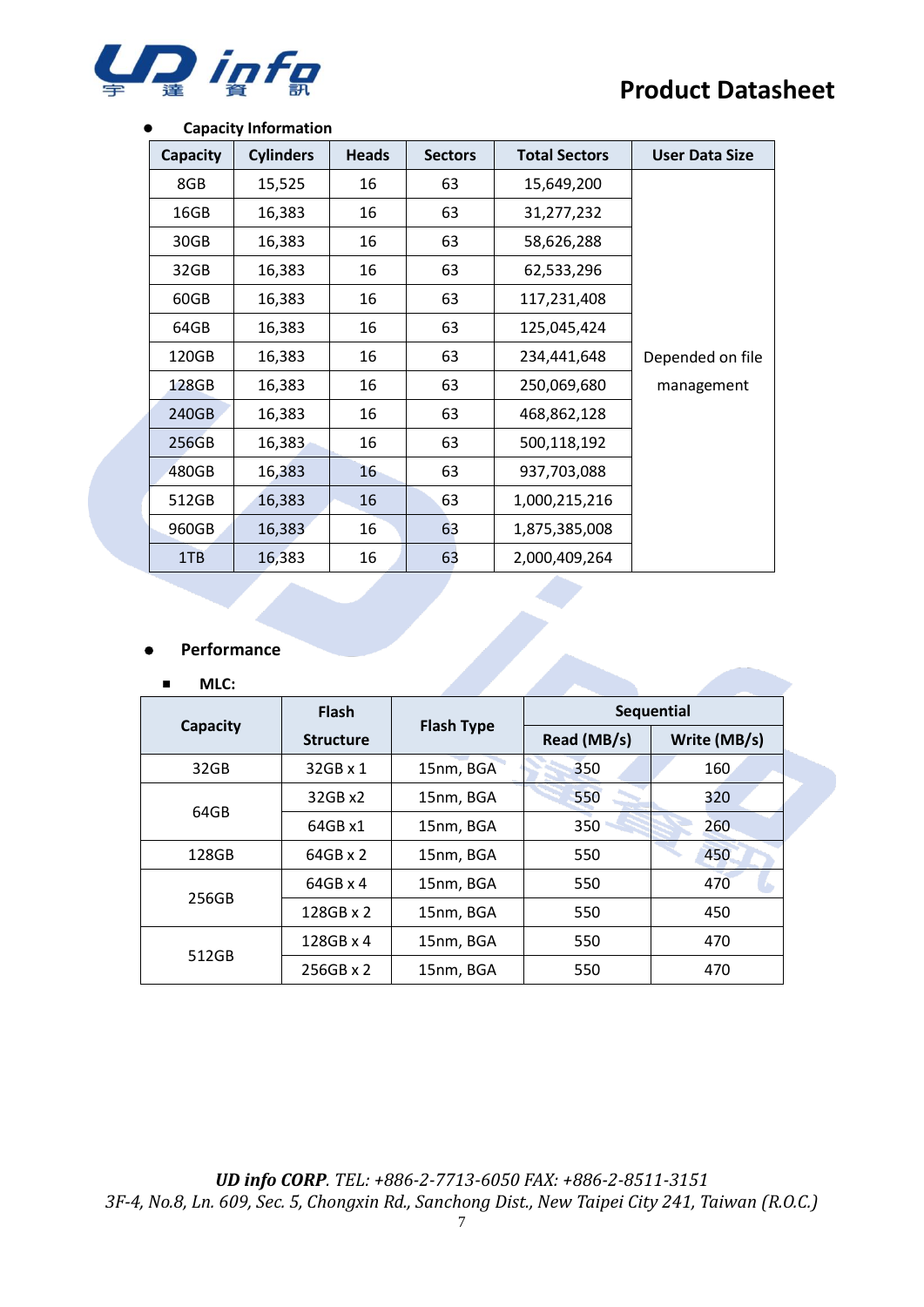

#### ⚫ **Capacity Information**

| Capacity | <b>Cylinders</b> | <b>Heads</b> | <b>Sectors</b> | <b>Total Sectors</b> | <b>User Data Size</b> |
|----------|------------------|--------------|----------------|----------------------|-----------------------|
| 8GB      | 15,525           | 16           | 63             | 15,649,200           |                       |
| 16GB     | 16,383           | 16           | 63             | 31,277,232           |                       |
| 30GB     | 16,383           | 16           | 63             | 58,626,288           |                       |
| 32GB     | 16,383           | 16           | 63             | 62,533,296           |                       |
| 60GB     | 16,383           | 16           | 63             | 117,231,408          |                       |
| 64GB     | 16,383           | 16           | 63             | 125,045,424          |                       |
| 120GB    | 16,383           | 16           | 63             | 234,441,648          | Depended on file      |
| 128GB    | 16,383           | 16           | 63             | 250,069,680          | management            |
| 240GB    | 16,383           | 16           | 63             | 468,862,128          |                       |
| 256GB    | 16,383           | 16           | 63             | 500,118,192          |                       |
| 480GB    | 16,383           | 16           | 63             | 937,703,088          |                       |
| 512GB    | 16,383           | 16           | 63             | 1,000,215,216        |                       |
| 960GB    | 16,383           | 16           | 63             | 1,875,385,008        |                       |
| 1TB      | 16,383           | 16           | 63             | 2,000,409,264        |                       |

#### ⚫ **Performance**

#### ■ **MLC:**

|          | <b>Flash</b>     | <b>Flash Type</b> | Sequential  |              |  |
|----------|------------------|-------------------|-------------|--------------|--|
| Capacity | <b>Structure</b> |                   | Read (MB/s) | Write (MB/s) |  |
| 32GB     | 32GB x 1         | 15nm, BGA         | 350         | 160          |  |
| 64GB     | 32GB x2          | 15nm, BGA         | 550         | 320          |  |
|          | 64GB x1          | 15nm, BGA         | 350         | 260          |  |
| 128GB    | $64GB \times 2$  | 15nm, BGA         | 550         | 450          |  |
| 256GB    | $64GB \times 4$  | 15nm, BGA         | 550         | 470          |  |
|          | 128GB x 2        | 15nm, BGA         | 550         | 450          |  |
|          | 128GB x 4        | 15nm, BGA         | 550         | 470          |  |
| 512GB    | 256GB x 2        | 15nm, BGA         | 550         | 470          |  |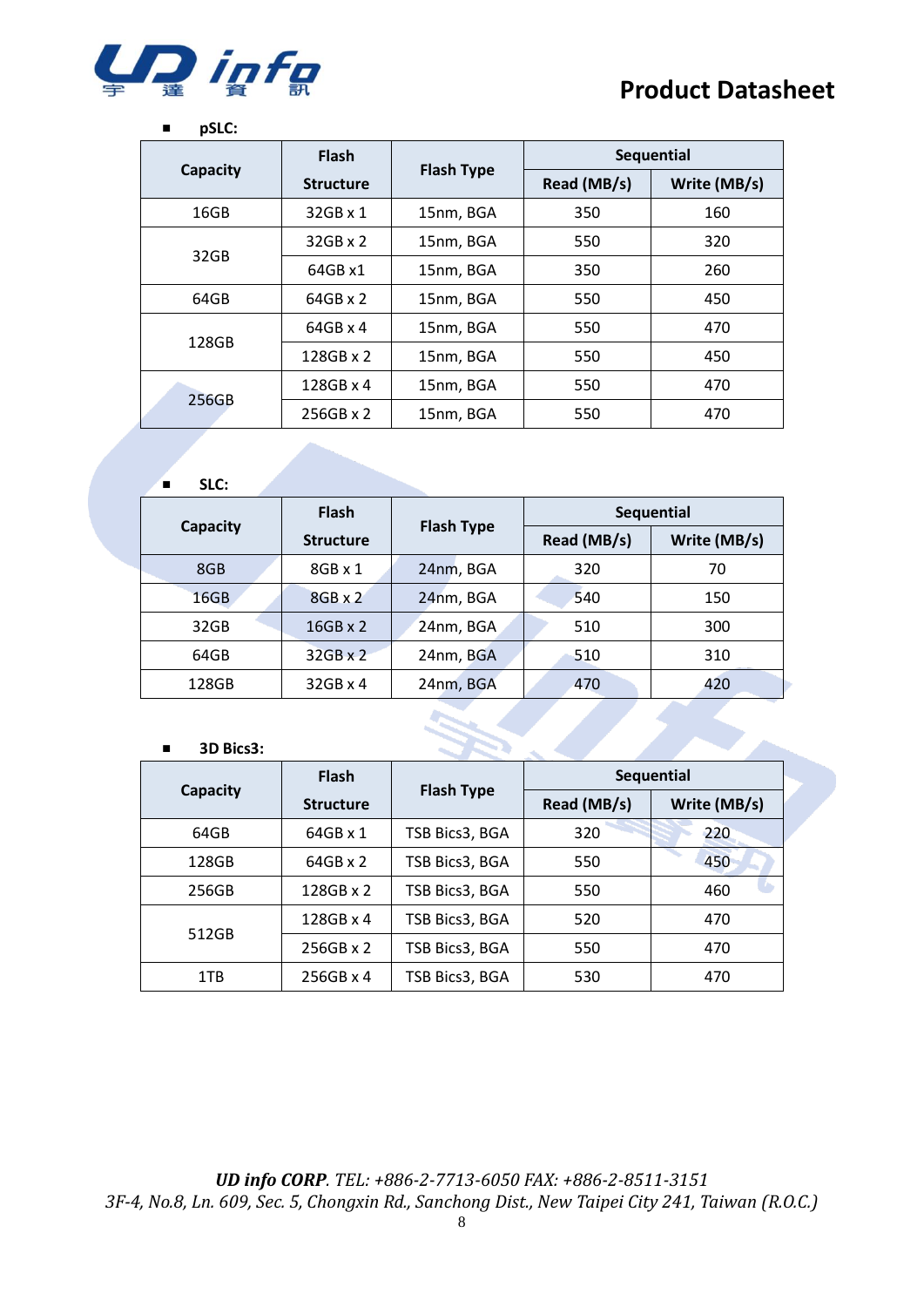

#### ■ **pSLC:**

|          | <b>Flash</b>     |                   |             | <b>Sequential</b> |
|----------|------------------|-------------------|-------------|-------------------|
| Capacity | <b>Structure</b> | <b>Flash Type</b> | Read (MB/s) | Write (MB/s)      |
| 16GB     | $32GB \times 1$  | 15nm, BGA         | 350         | 160               |
| 32GB     | $32$ GB x 2      | 15nm, BGA         | 550         | 320               |
|          | 64GB x1          | 15nm, BGA         | 350         | 260               |
| 64GB     | $64GB \times 2$  | 15nm, BGA         | 550         | 450               |
| 128GB    | $64GB \times 4$  | 15nm, BGA         | 550         | 470               |
|          | 128GB x 2        | 15nm, BGA         | 550         | 450               |
| 256GB    | $128GB \times 4$ | 15nm, BGA         | 550         | 470               |
|          | $256GB \times 2$ | 15nm, BGA         | 550         | 470               |

#### ■ **SLC:**

|          | <b>Flash</b>     |                   | Sequential  |              |
|----------|------------------|-------------------|-------------|--------------|
| Capacity | <b>Structure</b> | <b>Flash Type</b> | Read (MB/s) | Write (MB/s) |
| 8GB      | $8GB \times 1$   | 24nm, BGA         | 320         | 70           |
| 16GB     | $8GB \times 2$   | 24nm, BGA         | 540         | 150          |
| 32GB     | $16GB \times 2$  | 24nm, BGA         | 510         | 300          |
| 64GB     | $32GB \times 2$  | 24nm, BGA         | 510         | 310          |
| 128GB    | $32GB \times 4$  | 24nm, BGA         | 470         | 420          |

#### ■ **3D Bics3:**

|                 | <b>Flash</b>     | <b>Flash Type</b> |             | <b>Sequential</b> |
|-----------------|------------------|-------------------|-------------|-------------------|
| <b>Capacity</b> | <b>Structure</b> |                   | Read (MB/s) | Write (MB/s)      |
| 64GB            | 64GB x 1         | TSB Bics3, BGA    | 320         | 220               |
| 128GB           | 64GB x 2         | TSB Bics3, BGA    | 550         | 450               |
| 256GB           | 128GB x 2        | TSB Bics3, BGA    | 550         | 460               |
|                 | 128GB x 4        | TSB Bics3, BGA    | 520         | 470               |
| 512GB           | $256GB \times 2$ | TSB Bics3, BGA    | 550         | 470               |
| 1TB             | 256GB x 4        | TSB Bics3, BGA    | 530         | 470               |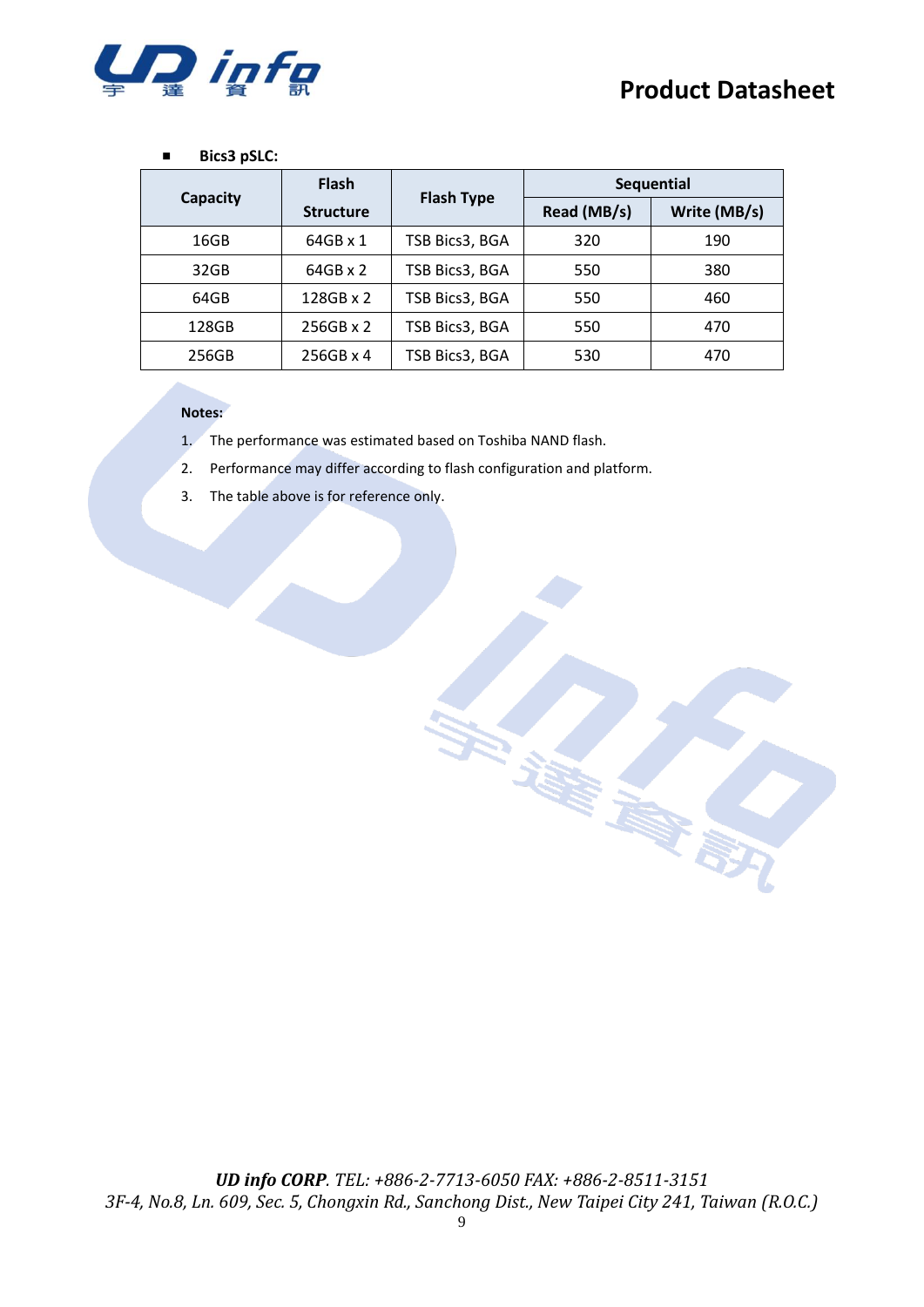

#### ■ **Bics3 pSLC:**

|          | <b>Flash</b>     |                   | <b>Sequential</b> |              |
|----------|------------------|-------------------|-------------------|--------------|
| Capacity | <b>Structure</b> | <b>Flash Type</b> | Read (MB/s)       | Write (MB/s) |
| 16GB     | 64GB x 1         | TSB Bics3, BGA    | 320               | 190          |
| 32GB     | 64GB x 2         | TSB Bics3, BGA    | 550               | 380          |
| 64GB     | 128GB x 2        | TSB Bics3, BGA    | 550               | 460          |
| 128GB    | $256GB \times 2$ | TSB Bics3, BGA    | 550               | 470          |
| 256GB    | 256GB x 4        | TSB Bics3, BGA    | 530               | 470          |

#### **Notes:**

- 1. The performance was estimated based on Toshiba NAND flash.
- 2. Performance may differ according to flash configuration and platform.
- 3. The table above is for reference only.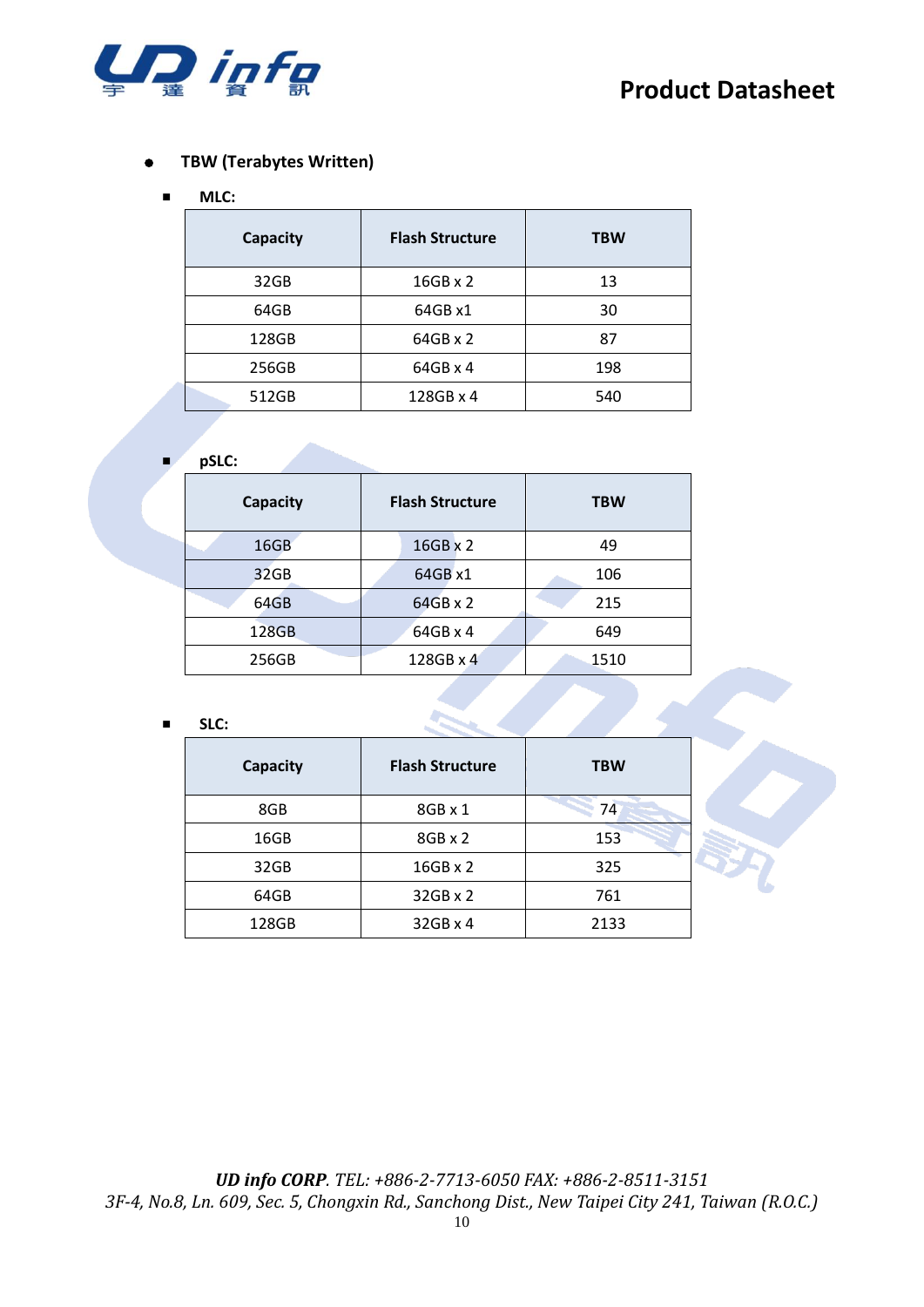

#### ⚫ **TBW (Terabytes Written)**

#### ■ **MLC:**

| Capacity | <b>Flash Structure</b> | <b>TBW</b> |
|----------|------------------------|------------|
| 32GB     | $16GB \times 2$        | 13         |
| 64GB     | 64GB x1                | 30         |
| 128GB    | 64GB x 2               | 87         |
| 256GB    | $64GB \times 4$        | 198        |
| 512GB    | 128GB x 4              | 540        |

#### ■ **pSLC:**

| Capacity | <b>Flash Structure</b> | <b>TBW</b> |
|----------|------------------------|------------|
| 16GB     | 16GB x 2               | 49         |
| 32GB     | 64GB x1                | 106        |
| 64GB     | $64GB \times 2$        | 215        |
| 128GB    | 64GB x 4               | 649        |
| 256GB    | 128GB x 4              | 1510       |

#### ■ **SLC:**

| Capacity | <b>Flash Structure</b> | <b>TBW</b> |
|----------|------------------------|------------|
| 8GB      | 8GB x 1                | 74         |
| 16GB     | $8GB \times 2$         | 153        |
| 32GB     | $16GB \times 2$        | 325        |
| 64GB     | 32GB x 2               | 761        |
| 128GB    | 32GB x 4               | 2133       |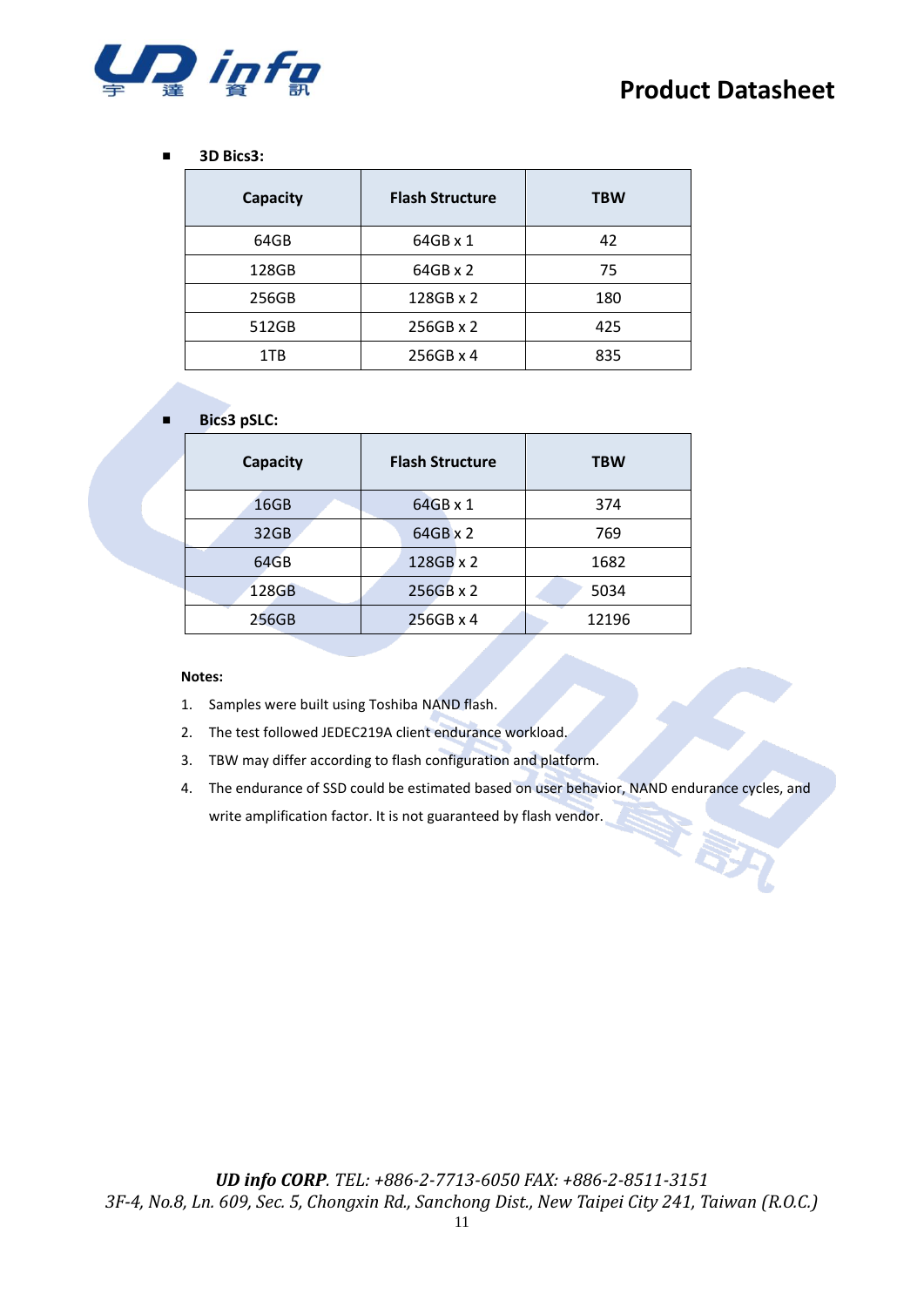

#### ■ **3D Bics3:**

| Capacity | <b>Flash Structure</b> | <b>TBW</b> |
|----------|------------------------|------------|
| 64GB     | 64GB x 1               | 42         |
| 128GB    | 64GB x 2               | 75         |
| 256GB    | 128GB x 2              | 180        |
| 512GB    | 256GB x 2              | 425        |
| 1TB      | 256GB x 4              | 835        |

#### ■ **Bics3 pSLC:**

| Capacity | <b>Flash Structure</b> | <b>TBW</b> |
|----------|------------------------|------------|
| 16GB     | 64GB x 1               | 374        |
| 32GB     | 64GB x 2               | 769        |
| 64GB     | 128GB x 2              | 1682       |
| 128GB    | 256GB x 2              | 5034       |
| 256GB    | 256GB x 4              | 12196      |

#### **Notes:**

1. Samples were built using Toshiba NAND flash.

- 2. The test followed JEDEC219A client endurance workload.
- 3. TBW may differ according to flash configuration and platform.
- 4. The endurance of SSD could be estimated based on user behavior, NAND endurance cycles, and write amplification factor. It is not guaranteed by flash vendor.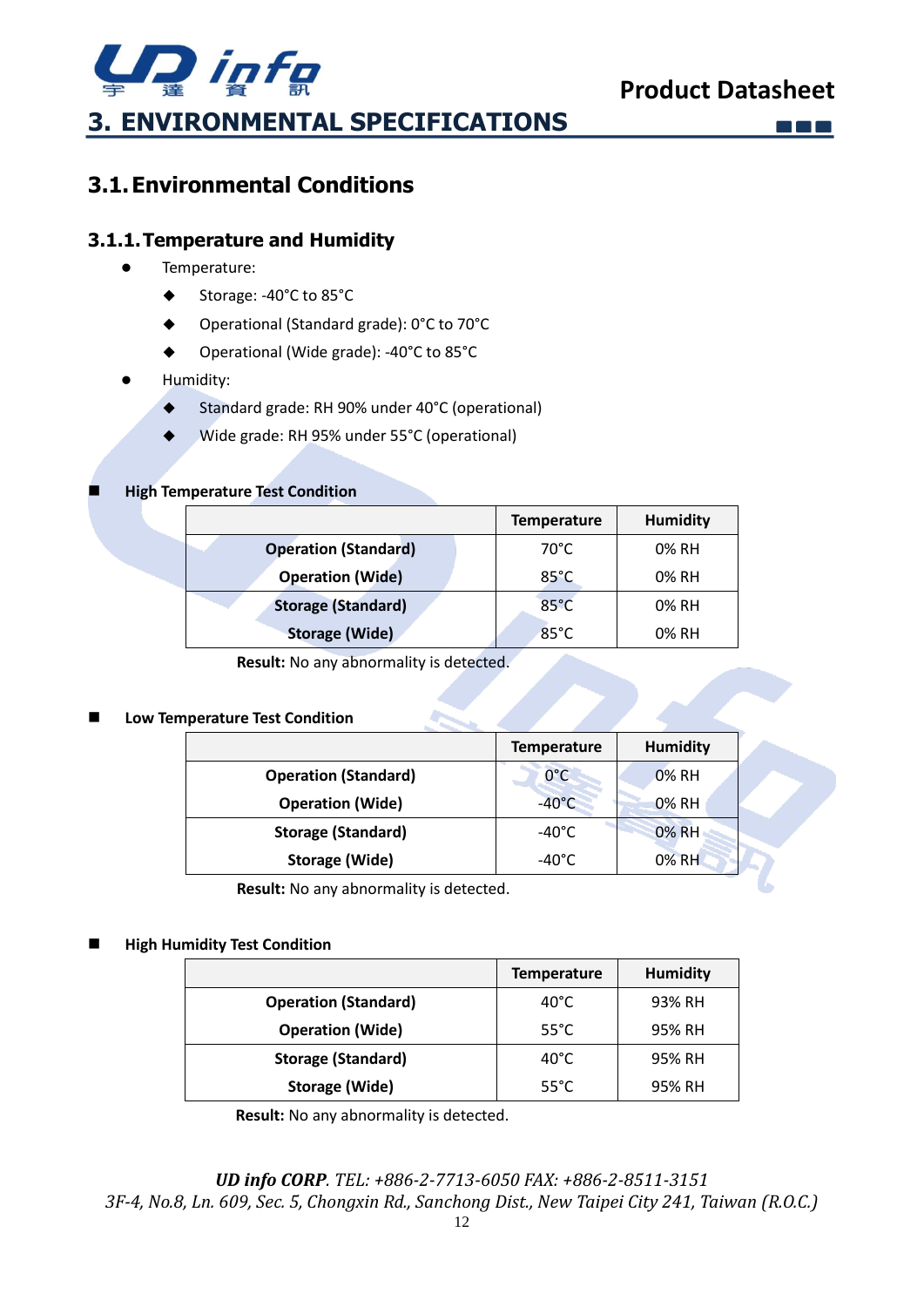

 $\begin{bmatrix} 1 & 1 \\ 1 & 1 \end{bmatrix}$  ,  $\begin{bmatrix} 1 & 1 \\ 1 & 1 \end{bmatrix}$ 

**Co** 

## <span id="page-11-1"></span><span id="page-11-0"></span>**3.1.Environmental Conditions**

#### <span id="page-11-2"></span>**3.1.1.Temperature and Humidity**

- ⚫ Temperature:
	- ◆ Storage: -40°C to 85°C
	- ◆ Operational (Standard grade): 0°C to 70°C
	- Operational (Wide grade): -40°C to 85°C
- ⚫ Humidity:
	- ◆ Standard grade: RH 90% under 40°C (operational)
	- ◆ Wide grade: RH 95% under 55°C (operational)

#### **High Temperature Test Condition**

|                             | <b>Temperature</b> | <b>Humidity</b> |
|-----------------------------|--------------------|-----------------|
| <b>Operation (Standard)</b> | 70°C               | 0% RH           |
| <b>Operation (Wide)</b>     | $85^{\circ}$ C     | 0% RH           |
| <b>Storage (Standard)</b>   | $85^{\circ}$ C     | 0% RH           |
| <b>Storage (Wide)</b>       | $85^{\circ}$ C     | 0% RH           |

**Result:** No any abnormality is detected.

#### ◼ **Low Temperature Test Condition**

|                             | <b>Temperature</b> | <b>Humidity</b> |  |
|-----------------------------|--------------------|-----------------|--|
| <b>Operation (Standard)</b> | $0^{\circ}$ C      | <b>0% RH</b>    |  |
| <b>Operation (Wide)</b>     | $-40^{\circ}$ C    | 0% RH           |  |
| <b>Storage (Standard)</b>   | -40°C              | 0% RH           |  |
| <b>Storage (Wide)</b>       | -40°C              | 0% RH           |  |

**Result:** No any abnormality is detected.

#### **High Humidity Test Condition**

|                             | <b>Temperature</b> | <b>Humidity</b> |
|-----------------------------|--------------------|-----------------|
| <b>Operation (Standard)</b> | 40°C               | 93% RH          |
| <b>Operation (Wide)</b>     | $55^{\circ}$ C     | 95% RH          |
| <b>Storage (Standard)</b>   | 40°C               | 95% RH          |
| Storage (Wide)              | $55^{\circ}$ C     | 95% RH          |

**Result:** No any abnormality is detected.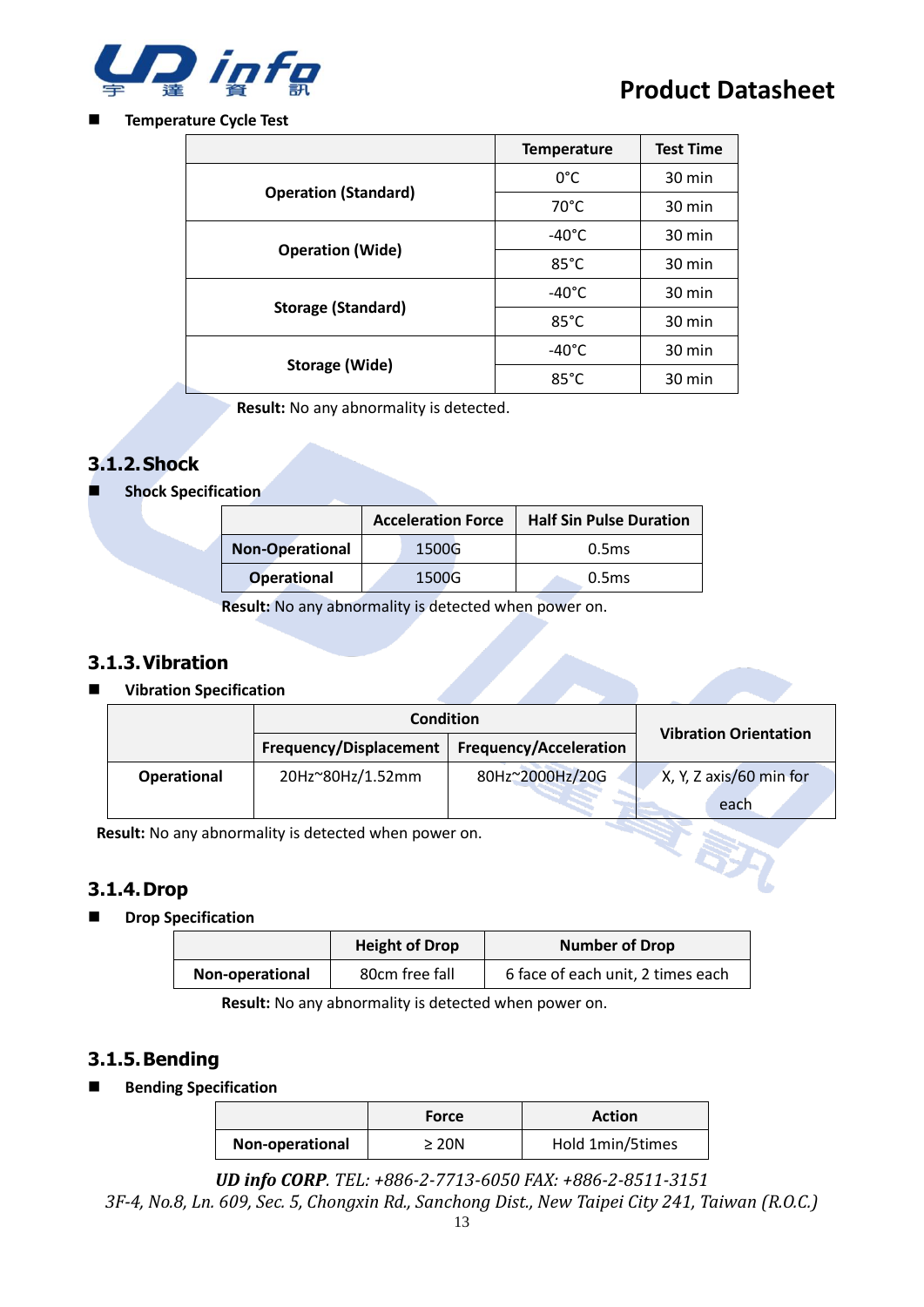

#### ◼ **Temperature Cycle Test**

|                             | <b>Temperature</b> | <b>Test Time</b> |
|-----------------------------|--------------------|------------------|
| <b>Operation (Standard)</b> | 0°C                | 30 min           |
|                             | $70^{\circ}$ C     | 30 min           |
|                             | $-40^{\circ}$ C    | 30 min           |
| <b>Operation (Wide)</b>     | $85^{\circ}$ C     | 30 min           |
|                             | $-40^{\circ}$ C    | 30 min           |
| <b>Storage (Standard)</b>   | $85^{\circ}$ C     | $30 \text{ min}$ |
|                             | -40°C              | 30 min           |
| Storage (Wide)              | $85^{\circ}$ C     | 30 min           |

**Result:** No any abnormality is detected.

#### <span id="page-12-0"></span>**3.1.2.Shock**

**Shock Specification** 

|                        | <b>Acceleration Force</b> |  | <b>Half Sin Pulse Duration</b> |
|------------------------|---------------------------|--|--------------------------------|
| <b>Non-Operational</b> | 1500G                     |  | 0.5 <sub>ms</sub>              |
| <b>Operational</b>     | 1500G                     |  | 0.5 <sub>ms</sub>              |

**Result:** No any abnormality is detected when power on.

#### <span id="page-12-1"></span>**3.1.3.Vibration**

#### ■ **Vibration Specification**

|                    | <b>Condition</b>       |                               | <b>Vibration Orientation</b> |
|--------------------|------------------------|-------------------------------|------------------------------|
|                    | Frequency/Displacement | <b>Frequency/Acceleration</b> |                              |
| <b>Operational</b> | 20Hz~80Hz/1.52mm       | 80Hz~2000Hz/20G               | X, Y, Z axis/60 min for      |
|                    |                        |                               | each                         |

**Result:** No any abnormality is detected when power on.

#### <span id="page-12-2"></span>**3.1.4.Drop**

■ **Drop Specification** 

|                 | <b>Height of Drop</b> | <b>Number of Drop</b>             |
|-----------------|-----------------------|-----------------------------------|
| Non-operational | 80cm free fall        | 6 face of each unit, 2 times each |

**Result:** No any abnormality is detected when power on.

#### <span id="page-12-3"></span>**3.1.5.Bending**

■ **Bending Specification** 

|                 | Force      | <b>Action</b>    |
|-----------------|------------|------------------|
| Non-operational | $\geq 20N$ | Hold 1min/5times |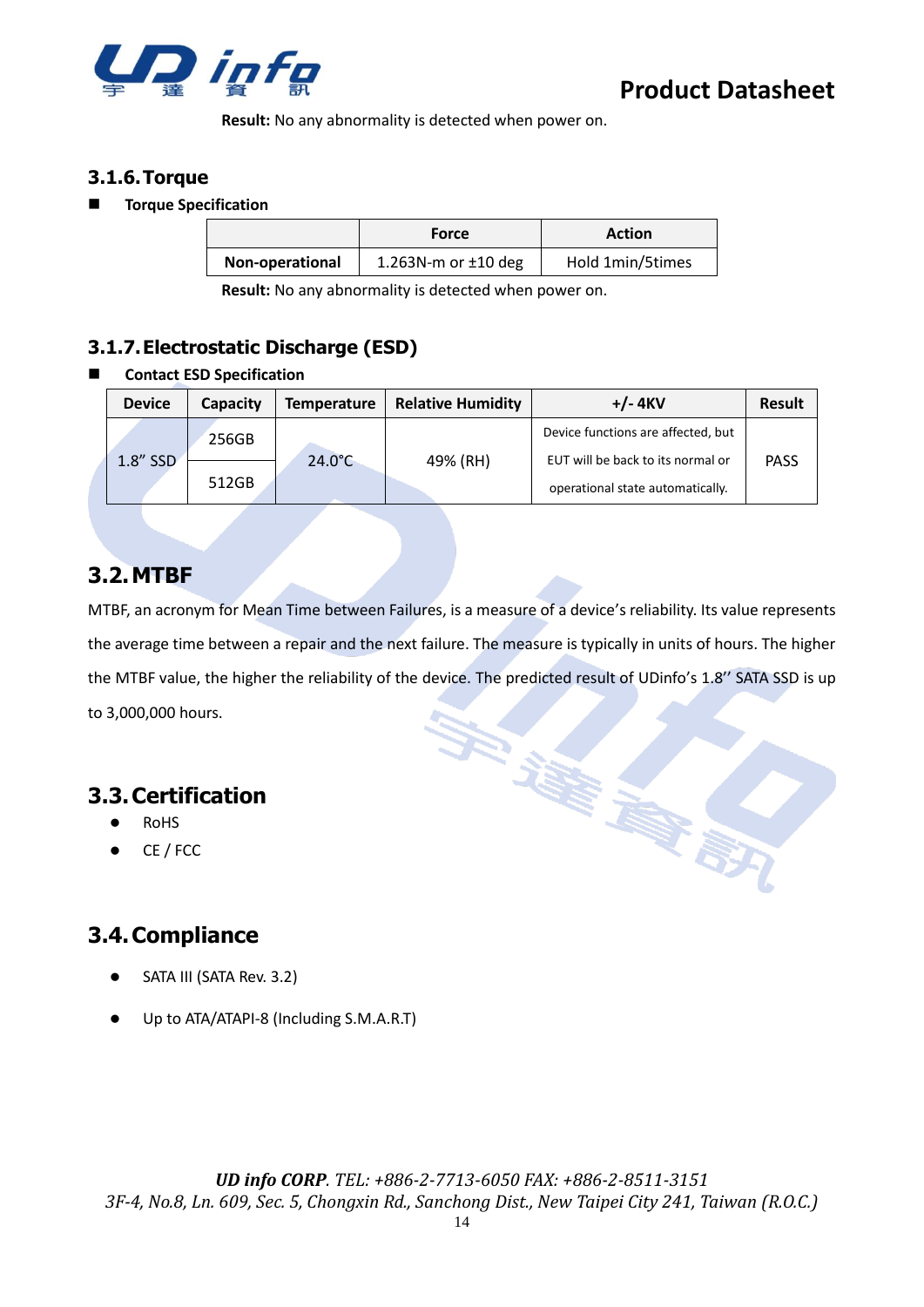

**Result:** No any abnormality is detected when power on.

#### <span id="page-13-0"></span>**3.1.6.Torque**

#### ◼ **Torque Specification**

|                 | <b>Force</b>             | Action           |
|-----------------|--------------------------|------------------|
| Non-operational | 1.263N-m or $\pm$ 10 deg | Hold 1min/5times |

**Result:** No any abnormality is detected when power on.

#### <span id="page-13-1"></span>**3.1.7.Electrostatic Discharge (ESD)**

#### ◼ **Contact ESD Specification**

| <b>Device</b> | Capacity | <b>Temperature</b> | <b>Relative Humidity</b> | $+/- 4$ KV                                                            | <b>Result</b> |
|---------------|----------|--------------------|--------------------------|-----------------------------------------------------------------------|---------------|
|               | 256GB    |                    |                          | Device functions are affected, but                                    |               |
| 1.8" SSD      | 512GB    | $24.0^{\circ}$ C   | 49% (RH)                 | EUT will be back to its normal or<br>operational state automatically. | <b>PASS</b>   |

## <span id="page-13-2"></span>**3.2.MTBF**

MTBF, an acronym for Mean Time between Failures, is a measure of a device's reliability. Its value represents the average time between a repair and the next failure. The measure is typically in units of hours. The higher the MTBF value, the higher the reliability of the device. The predicted result of UDinfo's 1.8'' SATA SSD is up to 3,000,000 hours.

**Little** 

家族

## <span id="page-13-3"></span>**3.3.Certification**

- **RoHS**
- ⚫ CE / FCC

## <span id="page-13-4"></span>**3.4.Compliance**

- SATA III (SATA Rev. 3.2)
- ⚫ Up to ATA/ATAPI-8 (Including S.M.A.R.T)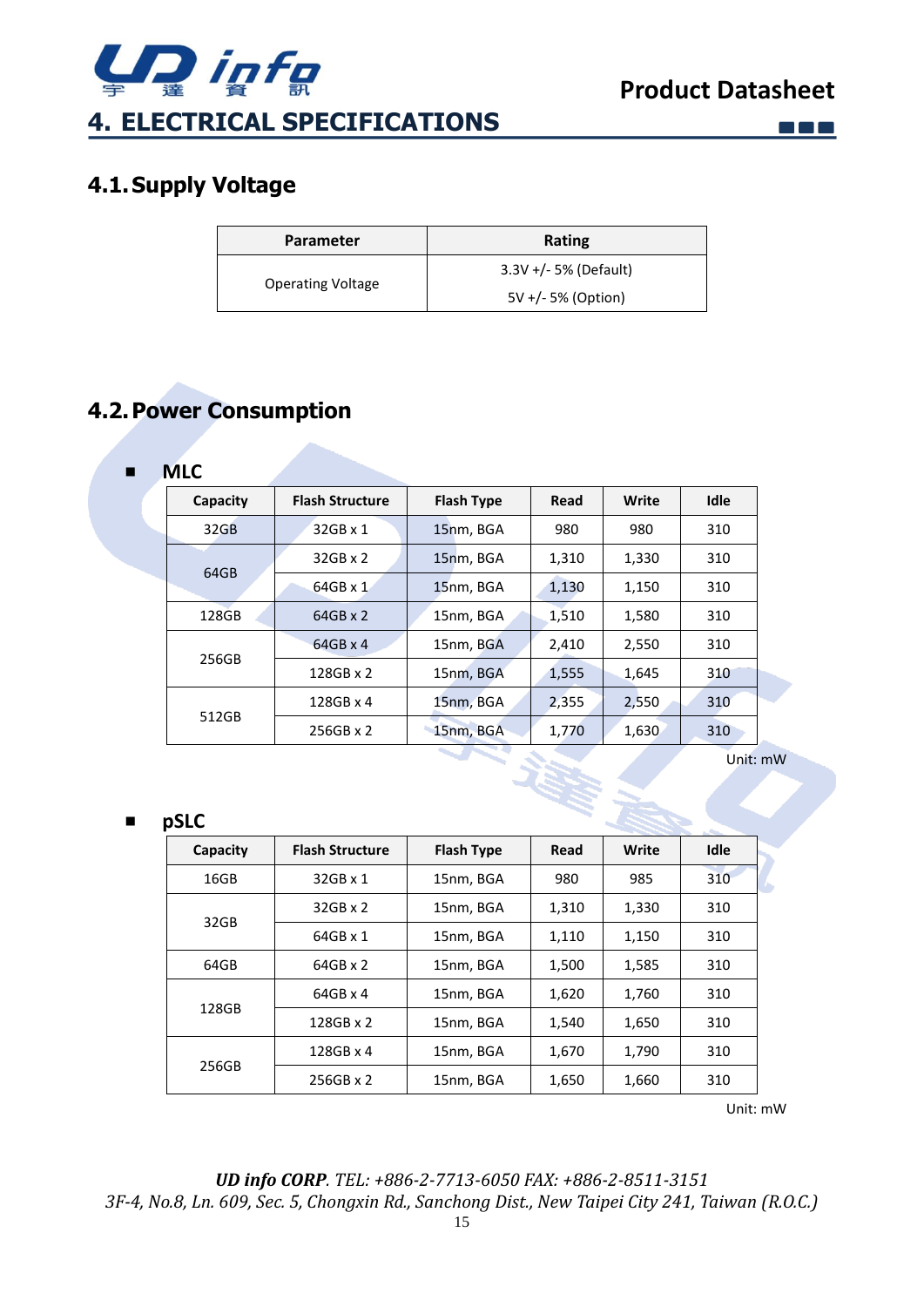

 $\square$   $\square$   $\square$ 

## <span id="page-14-1"></span><span id="page-14-0"></span>**4.1.Supply Voltage**

| <b>Parameter</b>         | Rating                  |
|--------------------------|-------------------------|
| <b>Operating Voltage</b> | $3.3V +/- 5%$ (Default) |
|                          | 5V +/- 5% (Option)      |

## <span id="page-14-2"></span>**4.2.Power Consumption**

| ■ | <b>MLC</b> |                        |                   |       |       |             |
|---|------------|------------------------|-------------------|-------|-------|-------------|
|   | Capacity   | <b>Flash Structure</b> | <b>Flash Type</b> | Read  | Write | <b>Idle</b> |
|   | 32GB       | 32GB x 1               | 15nm, BGA         | 980   | 980   | 310         |
|   | 64GB       | $32GB \times 2$        | 15nm, BGA         | 1,310 | 1,330 | 310         |
|   |            | 64GB x 1               | 15nm, BGA         | 1,130 | 1,150 | 310         |
|   | 128GB      | $64GB \times 2$        | 15nm, BGA         | 1,510 | 1,580 | 310         |
|   | 256GB      | $64GB \times 4$        | 15nm, BGA         | 2,410 | 2,550 | 310         |
|   |            | 128GB x 2              | 15nm, BGA         | 1,555 | 1,645 | 310         |
|   | 512GB      | 128GB x 4              | 15nm, BGA         | 2,355 | 2,550 | 310         |
|   |            | 256GB x 2              | 15nm, BGA         | 1,770 | 1,630 | 310         |

Unit: mW

■ **pSLC**

| r---     |                        |                   |       |       |             |
|----------|------------------------|-------------------|-------|-------|-------------|
| Capacity | <b>Flash Structure</b> | <b>Flash Type</b> | Read  | Write | <b>Idle</b> |
| 16GB     | 32GB x 1               | 15nm, BGA         | 980   | 985   | 310         |
|          | $32GB \times 2$        | 15nm, BGA         | 1,310 | 1,330 | 310         |
| 32GB     | 64GB x 1               | 15nm, BGA         | 1,110 | 1,150 | 310         |
| 64GB     | $64GB \times 2$        | 15nm, BGA         | 1,500 | 1,585 | 310         |
|          | $64GB \times 4$        | 15nm, BGA         | 1,620 | 1,760 | 310         |
| 128GB    | 128GB x 2              | 15nm, BGA         | 1,540 | 1,650 | 310         |
|          | 128GB x 4              | 15nm, BGA         | 1,670 | 1,790 | 310         |
| 256GB    | 256GB x 2              | 15nm, BGA         | 1,650 | 1,660 | 310         |

Unit: mW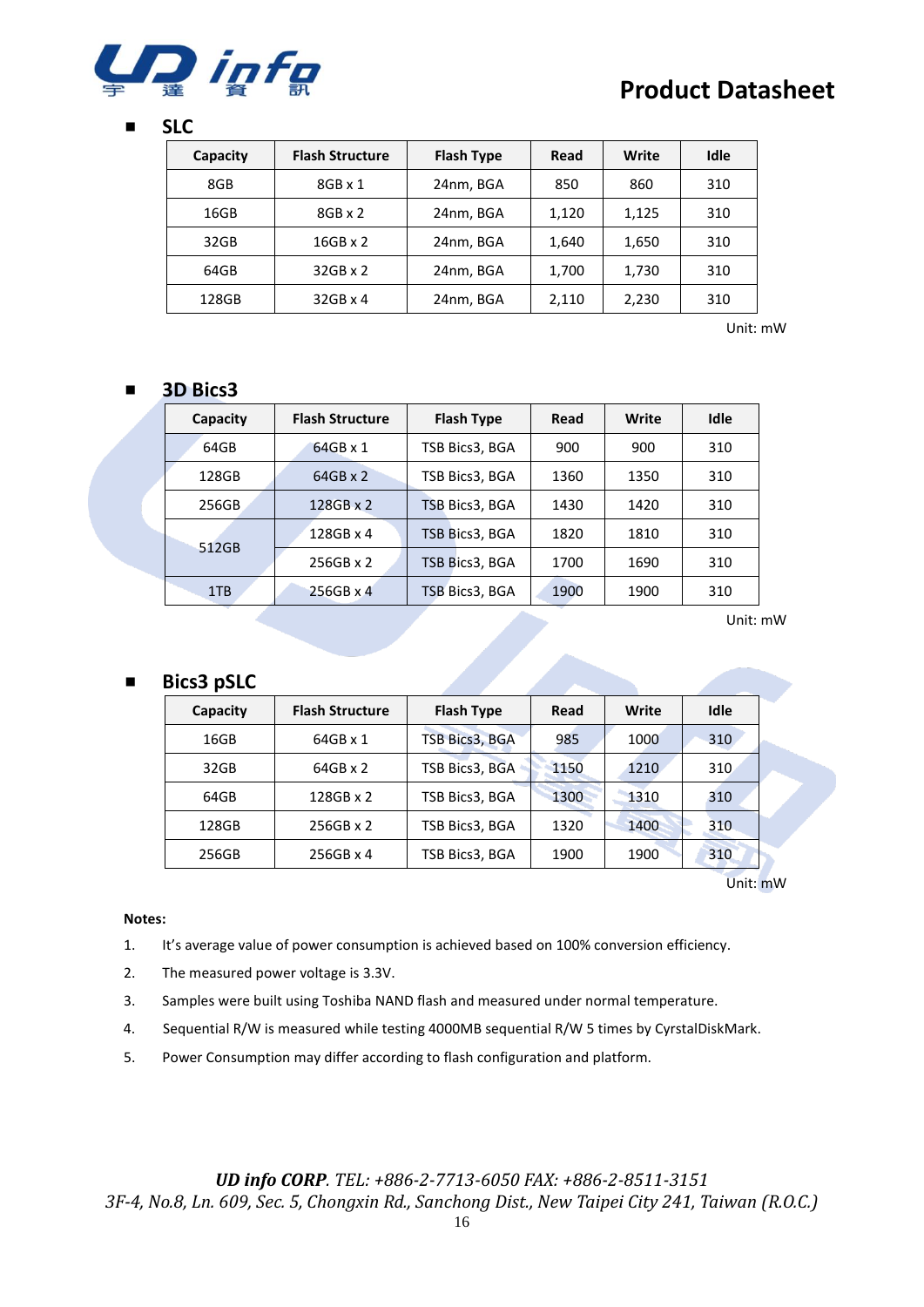

#### ■ **SLC**

| Capacity | <b>Flash Structure</b> | <b>Flash Type</b> | Read  | Write | Idle |
|----------|------------------------|-------------------|-------|-------|------|
| 8GB      | $8GB \times 1$         | 24nm, BGA         | 850   | 860   | 310  |
| 16GB     | $8GB \times 2$         | 24nm, BGA         | 1,120 | 1,125 | 310  |
| 32GB     | $16GB \times 2$        | 24nm, BGA         | 1,640 | 1,650 | 310  |
| 64GB     | $32GB \times 2$        | 24nm, BGA         | 1,700 | 1,730 | 310  |
| 128GB    | $32GB \times 4$        | 24nm, BGA         | 2,110 | 2,230 | 310  |

Unit: mW

#### ■ **3D Bics3**

| Capacity | <b>Flash Structure</b> | <b>Flash Type</b> | Read | Write | Idle |
|----------|------------------------|-------------------|------|-------|------|
| 64GB     | $64GB \times 1$        | TSB Bics3, BGA    | 900  | 900   | 310  |
| 128GB    | $64GB \times 2$        | TSB Bics3, BGA    | 1360 | 1350  | 310  |
| 256GB    | $128GB \times 2$       | TSB Bics3, BGA    | 1430 | 1420  | 310  |
| 512GB    | 128GB x 4              | TSB Bics3, BGA    | 1820 | 1810  | 310  |
|          | $256GB \times 2$       | TSB Bics3, BGA    | 1700 | 1690  | 310  |
| 1TB      | $256GB \times 4$       | TSB Bics3, BGA    | 1900 | 1900  | 310  |

Unit: mW

#### ■ **Bics3 pSLC**

| Capacity | <b>Flash Structure</b> | <b>Flash Type</b> | Read | Write | Idle |
|----------|------------------------|-------------------|------|-------|------|
| 16GB     | $64GB \times 1$        | TSB Bics3, BGA    | 985  | 1000  | 310  |
| 32GB     | $64GB \times 2$        | TSB Bics3, BGA    | 1150 | 1210  | 310  |
| 64GB     | 128GB x 2              | TSB Bics3, BGA    | 1300 | 1310  | 310  |
| 128GB    | 256GB x 2              | TSB Bics3, BGA    | 1320 | 1400  | 310  |
| 256GB    | 256GB x 4              | TSB Bics3, BGA    | 1900 | 1900  | 310  |

Unit: mW

#### **Notes:**

- 1. It's average value of power consumption is achieved based on 100% conversion efficiency.
- 2. The measured power voltage is 3.3V.
- 3. Samples were built using Toshiba NAND flash and measured under normal temperature.
- 4. Sequential R/W is measured while testing 4000MB sequential R/W 5 times by CyrstalDiskMark.
- 5. Power Consumption may differ according to flash configuration and platform.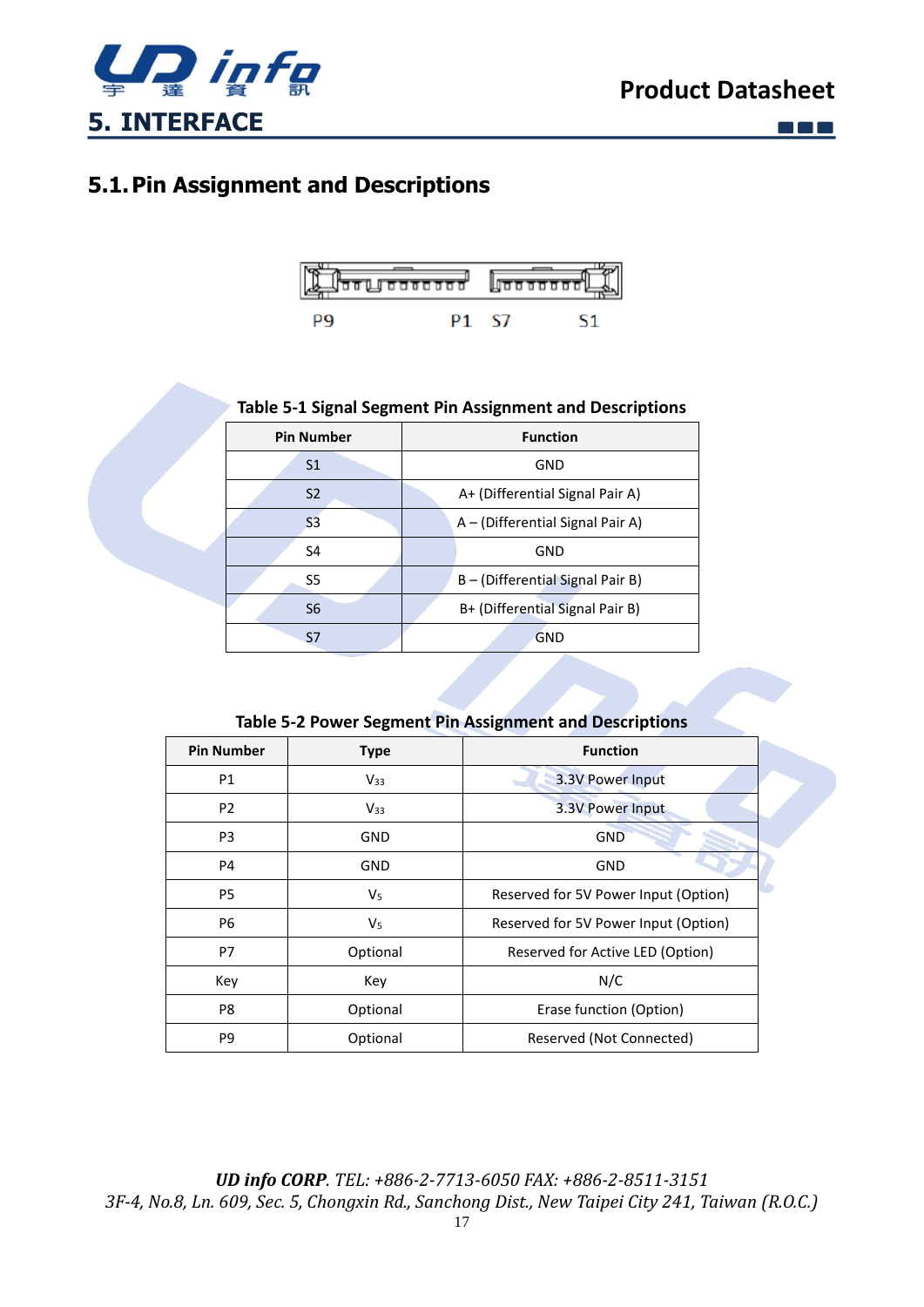

**EN** 

## <span id="page-16-1"></span><span id="page-16-0"></span>**5.1.Pin Assignment and Descriptions**



#### **Table 5-1 Signal Segment Pin Assignment and Descriptions**

| <b>Pin Number</b> | <b>Function</b>                  |  |  |
|-------------------|----------------------------------|--|--|
| S <sub>1</sub>    | GND                              |  |  |
| S <sub>2</sub>    | A+ (Differential Signal Pair A)  |  |  |
| S <sub>3</sub>    | A – (Differential Signal Pair A) |  |  |
| S <sub>4</sub>    | GND                              |  |  |
| S5                | B - (Differential Signal Pair B) |  |  |
| S <sub>6</sub>    | B+ (Differential Signal Pair B)  |  |  |
| S7                | <b>GND</b>                       |  |  |

#### **Table 5-2 Power Segment Pin Assignment and Descriptions**

| <b>Pin Number</b><br><b>Type</b> |                | <b>Function</b>                      |
|----------------------------------|----------------|--------------------------------------|
| P <sub>1</sub>                   | $V_{33}$       | 3.3V Power Input                     |
| P <sub>2</sub>                   | $V_{33}$       | 3.3V Power Input                     |
| P <sub>3</sub>                   | GND            | <b>GND</b>                           |
| P4                               | GND            | GND                                  |
| P <sub>5</sub>                   | V <sub>5</sub> | Reserved for 5V Power Input (Option) |
| P <sub>6</sub>                   | V <sub>5</sub> | Reserved for 5V Power Input (Option) |
| P7                               | Optional       | Reserved for Active LED (Option)     |
| Key                              | Key            | N/C                                  |
| P8                               | Optional       | Erase function (Option)              |
| P9                               | Optional       | Reserved (Not Connected)             |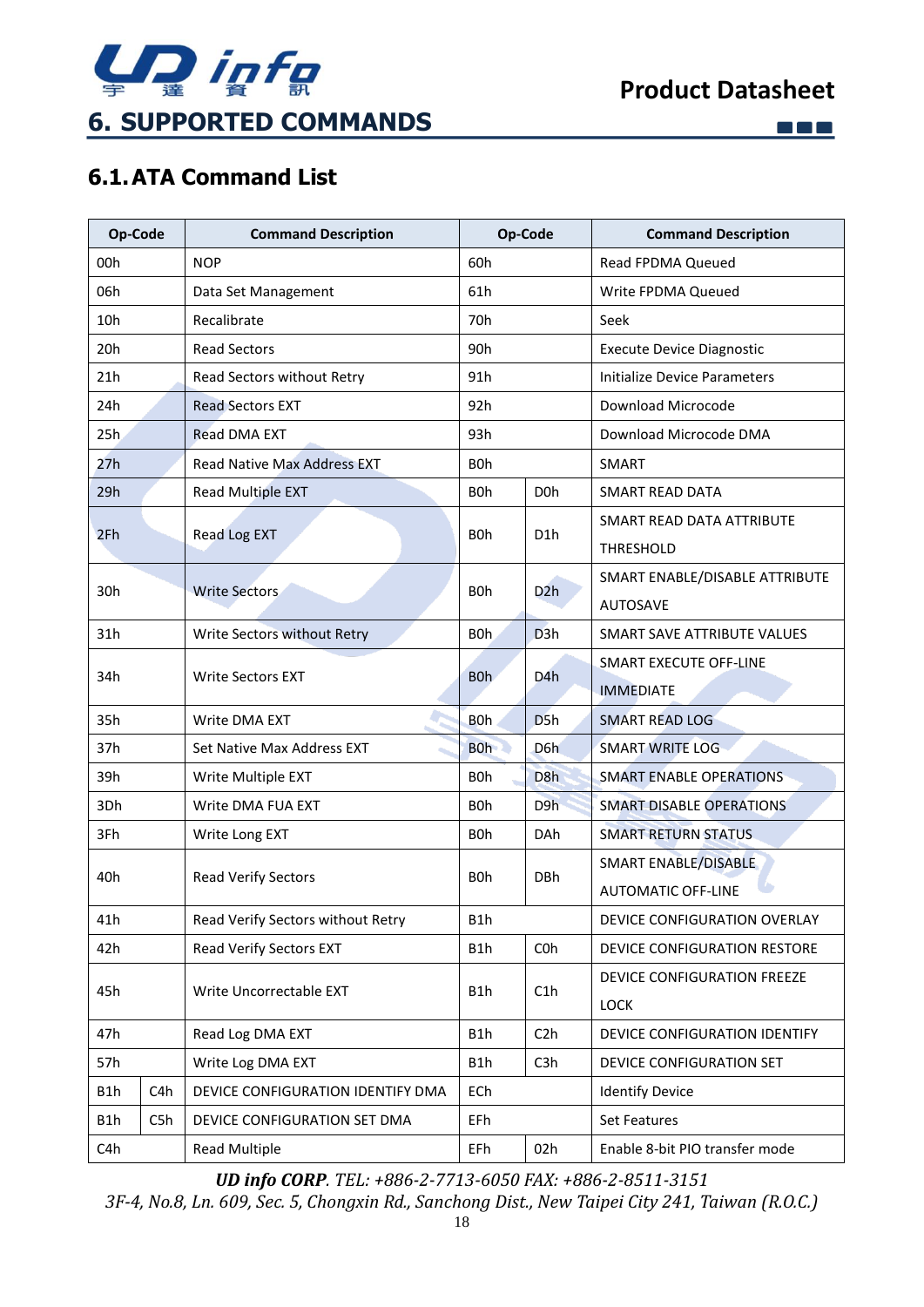

 $\square$   $\square$   $\square$ 

## <span id="page-17-1"></span><span id="page-17-0"></span>**6.1.ATA Command List**

| <b>Op-Code</b>                           |                      | <b>Command Description</b>         | Op-Code          |                               | <b>Command Description</b>       |
|------------------------------------------|----------------------|------------------------------------|------------------|-------------------------------|----------------------------------|
| 00h                                      |                      | <b>NOP</b>                         | 60h              |                               | Read FPDMA Queued                |
| 06h                                      |                      | Data Set Management                | 61h              |                               | Write FPDMA Queued               |
| 10h                                      |                      | Recalibrate                        | 70 <sub>h</sub>  |                               | Seek                             |
| 20h                                      |                      | <b>Read Sectors</b>                | 90h              |                               | <b>Execute Device Diagnostic</b> |
| 21h                                      |                      | Read Sectors without Retry         | 91h              |                               | Initialize Device Parameters     |
| 24h                                      |                      | <b>Read Sectors EXT</b>            | 92h              |                               | Download Microcode               |
| 25h                                      |                      | <b>Read DMA EXT</b>                | 93h              |                               | Download Microcode DMA           |
| 27h                                      |                      | <b>Read Native Max Address EXT</b> | <b>BOh</b>       |                               | SMART                            |
| 29h                                      |                      | Read Multiple EXT                  | <b>BOh</b>       | D <sub>0</sub> h              | <b>SMART READ DATA</b>           |
| 2Fh                                      |                      |                                    | B <sub>O</sub> h | D <sub>1</sub> h              | SMART READ DATA ATTRIBUTE        |
|                                          |                      | Read Log EXT                       |                  |                               | THRESHOLD                        |
| 30h                                      |                      | <b>Write Sectors</b>               | <b>BOh</b>       | D2h                           | SMART ENABLE/DISABLE ATTRIBUTE   |
|                                          |                      |                                    |                  |                               | <b>AUTOSAVE</b>                  |
| 31h                                      |                      | Write Sectors without Retry        | B <sub>Oh</sub>  | D <sub>3</sub> h              | SMART SAVE ATTRIBUTE VALUES      |
| 34h                                      |                      | <b>Write Sectors EXT</b>           | B <sub>O</sub> h | D <sub>4</sub> h              | <b>SMART EXECUTE OFF-LINE</b>    |
|                                          |                      |                                    |                  |                               | <b>IMMEDIATE</b>                 |
| 35h                                      | Write DMA EXT        |                                    | <b>BOh</b>       | D <sub>5</sub> h              | <b>SMART READ LOG</b>            |
| 37h                                      |                      | Set Native Max Address EXT         | <b>BOh</b>       | D <sub>6</sub> h              | <b>SMART WRITE LOG</b>           |
| 39h                                      |                      | Write Multiple EXT                 | B <sub>O</sub> h | D <sub>8</sub> h              | <b>SMART ENABLE OPERATIONS</b>   |
| 3Dh                                      |                      | Write DMA FUA EXT                  | B <sub>O</sub> h | D9h                           | <b>SMART DISABLE OPERATIONS</b>  |
| 3Fh                                      |                      | Write Long EXT                     | B <sub>O</sub> h | <b>DAh</b>                    | <b>SMART RETURN STATUS</b>       |
| 40h                                      |                      | <b>Read Verify Sectors</b>         | <b>BOh</b>       | <b>DBh</b>                    | SMART ENABLE/DISABLE             |
|                                          |                      |                                    |                  |                               | <b>AUTOMATIC OFF-LINE</b>        |
| Read Verify Sectors without Retry<br>41h |                      | B1h                                |                  | DEVICE CONFIGURATION OVERLAY  |                                  |
| 42h                                      |                      | Read Verify Sectors EXT            | B1h              | COh                           | DEVICE CONFIGURATION RESTORE     |
|                                          |                      | B1h                                | C1h              | DEVICE CONFIGURATION FREEZE   |                                  |
| 45h<br>Write Uncorrectable EXT           |                      |                                    |                  | LOCK                          |                                  |
| 47h<br>Read Log DMA EXT                  |                      | B1h                                | C2h              | DEVICE CONFIGURATION IDENTIFY |                                  |
| 57h                                      |                      | Write Log DMA EXT                  | B1h              | C <sub>3</sub> h              | DEVICE CONFIGURATION SET         |
| B1h                                      | C4h                  | DEVICE CONFIGURATION IDENTIFY DMA  | ECh              |                               | <b>Identify Device</b>           |
| B1h                                      | C5h                  | DEVICE CONFIGURATION SET DMA       | EFh              |                               | Set Features                     |
| C4h                                      | <b>Read Multiple</b> |                                    | EFh              | 02h                           | Enable 8-bit PIO transfer mode   |

*UD info CORP. TEL: +886-2-7713-6050 FAX: +886-2-8511-3151*

*3F-4, No.8, Ln. 609, Sec. 5, Chongxin Rd., Sanchong Dist., New Taipei City 241, Taiwan (R.O.C.)*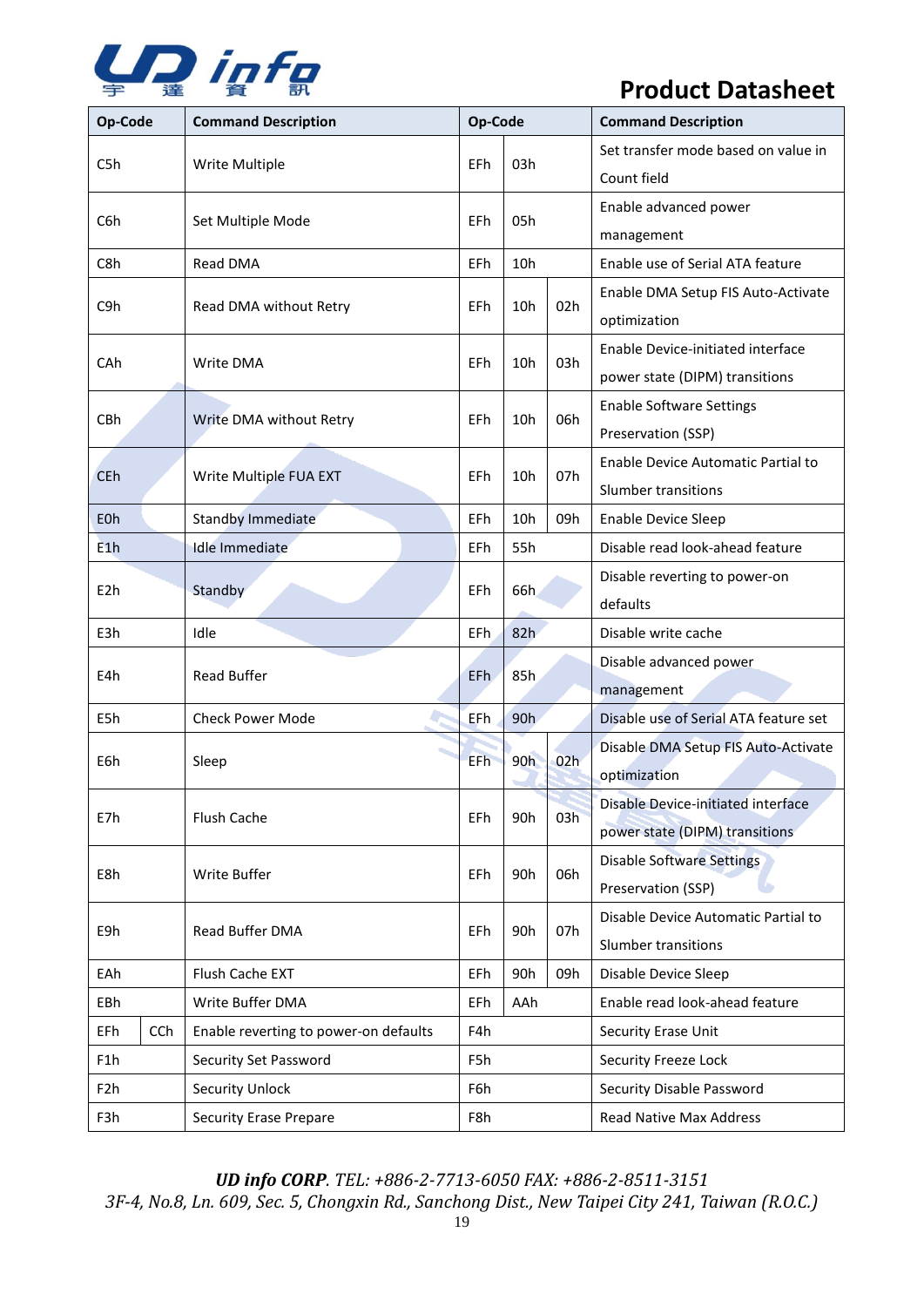

| Op-Code          | Op-Code<br><b>Command Description</b> |                                       | <b>Command Description</b> |                 |     |                                                    |  |
|------------------|---------------------------------------|---------------------------------------|----------------------------|-----------------|-----|----------------------------------------------------|--|
| C5h              |                                       | Write Multiple                        | EFh                        | 03h             |     | Set transfer mode based on value in<br>Count field |  |
| C6h              |                                       | Set Multiple Mode                     | EFh                        | 05h             |     | Enable advanced power                              |  |
|                  |                                       |                                       |                            |                 |     | management                                         |  |
| C8h              |                                       | Read DMA                              | <b>EFh</b>                 | 10h             |     | Enable use of Serial ATA feature                   |  |
| C9h              |                                       | Read DMA without Retry                | EFh                        | 10 <sub>h</sub> | 02h | Enable DMA Setup FIS Auto-Activate                 |  |
|                  |                                       |                                       |                            |                 |     | optimization                                       |  |
| CAh              |                                       | Write DMA                             | EFh                        | 10 <sub>h</sub> | 03h | Enable Device-initiated interface                  |  |
|                  |                                       |                                       |                            |                 |     | power state (DIPM) transitions                     |  |
| CBh              |                                       | Write DMA without Retry               | EFh                        | 10h             | 06h | <b>Enable Software Settings</b>                    |  |
|                  |                                       |                                       |                            |                 |     | Preservation (SSP)                                 |  |
| <b>CEh</b>       |                                       |                                       | EFh                        | 10 <sub>h</sub> | 07h | Enable Device Automatic Partial to                 |  |
|                  |                                       | Write Multiple FUA EXT                |                            |                 |     | Slumber transitions                                |  |
| E <sub>O</sub> h |                                       | <b>Standby Immediate</b>              | <b>EFh</b>                 | 10h             | 09h | Enable Device Sleep                                |  |
| E1h              |                                       | <b>Idle Immediate</b>                 | EFh                        | 55h             |     | Disable read look-ahead feature                    |  |
| E <sub>2</sub> h |                                       | Standby                               | EFh                        | 66h             |     | Disable reverting to power-on                      |  |
|                  |                                       |                                       |                            |                 |     | defaults                                           |  |
| E3h              |                                       | Idle                                  | EFh                        | 82h             |     | Disable write cache                                |  |
| E4h              |                                       | Read Buffer                           | EF <sub>h</sub>            | 85h             |     | Disable advanced power                             |  |
|                  |                                       |                                       |                            |                 |     | management                                         |  |
| E5h              |                                       | <b>Check Power Mode</b>               | EFh                        | 90h             |     | Disable use of Serial ATA feature set              |  |
| E6h              |                                       | Sleep                                 | EFh                        | 90h             | 02h | Disable DMA Setup FIS Auto-Activate                |  |
|                  |                                       |                                       |                            |                 |     | optimization                                       |  |
| E7h              |                                       | Flush Cache                           | EFh                        | 90h             | 03h | Disable Device-initiated interface                 |  |
|                  |                                       |                                       |                            |                 |     | power state (DIPM) transitions                     |  |
| E8h              |                                       | Write Buffer                          |                            | 90h             | 06h | <b>Disable Software Settings</b>                   |  |
|                  |                                       |                                       |                            |                 |     | Preservation (SSP)                                 |  |
| E9h              |                                       | Read Buffer DMA                       | EFh                        | 90h             | 07h | Disable Device Automatic Partial to                |  |
|                  |                                       |                                       |                            |                 |     | Slumber transitions                                |  |
| EAh              |                                       | Flush Cache EXT                       | EFh                        | 90h             | 09h | Disable Device Sleep                               |  |
| EBh              | Write Buffer DMA                      |                                       | EFh                        | AAh             |     | Enable read look-ahead feature                     |  |
| EFh              | <b>CCh</b>                            | Enable reverting to power-on defaults |                            |                 |     | Security Erase Unit                                |  |
| F1h              |                                       | Security Set Password                 | F5h                        |                 |     | Security Freeze Lock                               |  |
| F <sub>2</sub> h |                                       | <b>Security Unlock</b>                | F6h                        |                 |     | Security Disable Password                          |  |
| F3h              |                                       | <b>Security Erase Prepare</b>         |                            | F8h             |     | Read Native Max Address                            |  |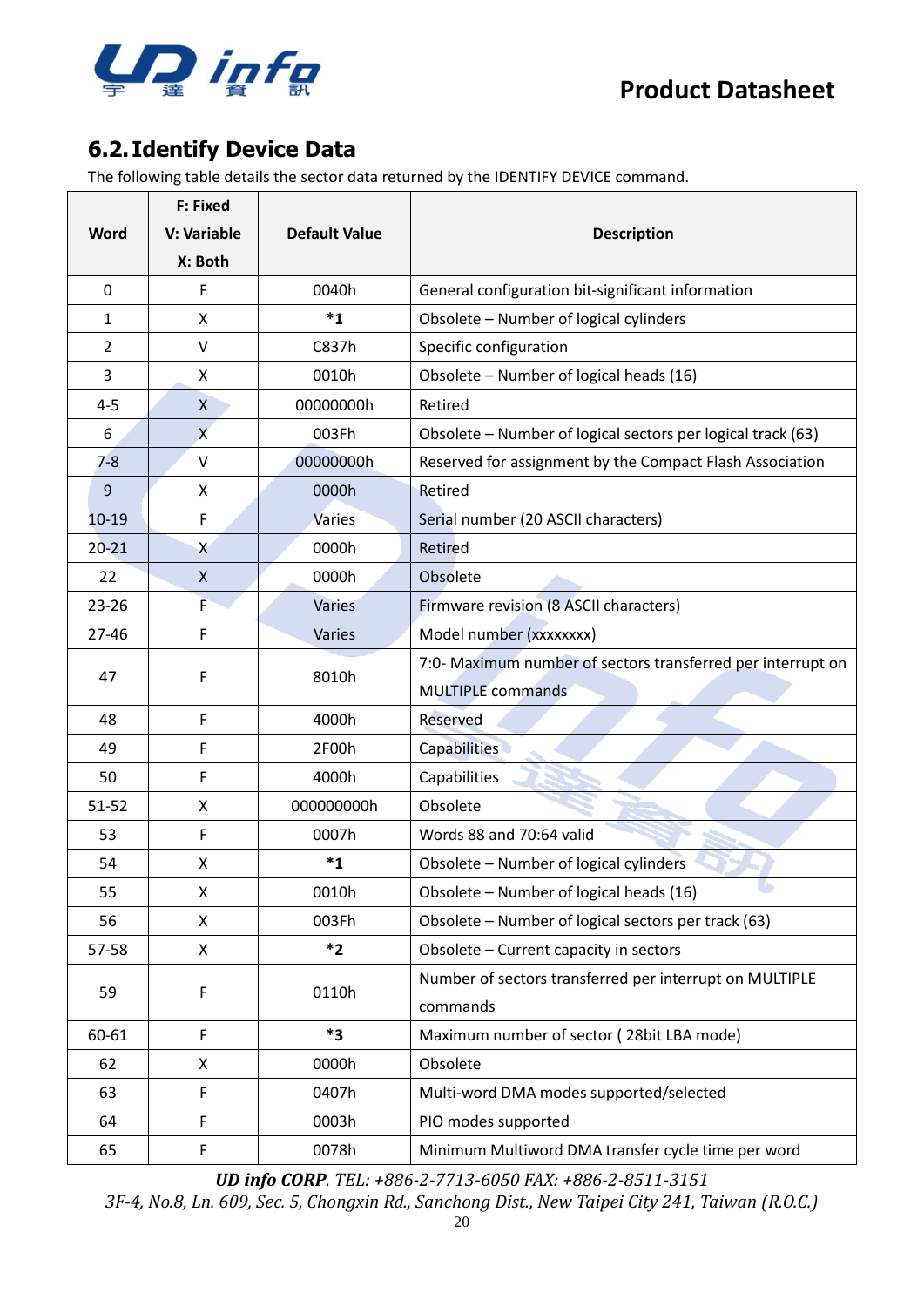

## <span id="page-19-0"></span>**6.2. Identify Device Data**

The following table details the sector data returned by the IDENTIFY DEVICE command.

|                | <b>F: Fixed</b> |                      |                                                             |
|----------------|-----------------|----------------------|-------------------------------------------------------------|
| <b>Word</b>    | V: Variable     | <b>Default Value</b> | <b>Description</b>                                          |
|                | X: Both         |                      |                                                             |
| 0              | F               | 0040h                | General configuration bit-significant information           |
| 1              | X               | $^*1$                | Obsolete - Number of logical cylinders                      |
| $\overline{2}$ | $\vee$          | C837h                | Specific configuration                                      |
| 3              | X               | 0010h                | Obsolete - Number of logical heads (16)                     |
| $4 - 5$        | X               | 00000000h            | Retired                                                     |
| 6              | $\overline{X}$  | 003Fh                | Obsolete - Number of logical sectors per logical track (63) |
| $7 - 8$        | V               | 00000000h            | Reserved for assignment by the Compact Flash Association    |
| 9              | X               | 0000h                | Retired                                                     |
| $10-19$        | F               | <b>Varies</b>        | Serial number (20 ASCII characters)                         |
| $20 - 21$      | X               | 0000h                | Retired                                                     |
| 22             | $\mathsf{X}$    | 0000h                | Obsolete                                                    |
| 23-26          | F               | <b>Varies</b>        | Firmware revision (8 ASCII characters)                      |
| $27 - 46$      | F               | Varies               | Model number (xxxxxxxx)                                     |
| 47             | F               | 8010h                | 7:0- Maximum number of sectors transferred per interrupt on |
|                |                 |                      | <b>MULTIPLE</b> commands                                    |
| 48             | F               | 4000h                | Reserved                                                    |
| 49             | F               | 2F00h                | <b>Capabilities</b>                                         |
| 50             | F               | 4000h                | Capabilities                                                |
| $51 - 52$      | X               | 000000000h           | Obsolete                                                    |
| 53             | F               | 0007h                | Words 88 and 70:64 valid                                    |
| 54             | X               | $^*1$                | Obsolete - Number of logical cylinders                      |
| 55             | Χ               | 0010h                | Obsolete - Number of logical heads (16)                     |
| 56             | X               | 003Fh                | Obsolete – Number of logical sectors per track (63)         |
| 57-58          | X               | $*2$                 | Obsolete - Current capacity in sectors                      |
| 59             | F               | 0110h                | Number of sectors transferred per interrupt on MULTIPLE     |
|                |                 |                      | commands                                                    |
| 60-61          | $\mathsf F$     | *3                   | Maximum number of sector (28bit LBA mode)                   |
| 62             | X               | 0000h                | Obsolete                                                    |
| 63             | F               | 0407h                | Multi-word DMA modes supported/selected                     |
| 64             | F               | 0003h                | PIO modes supported                                         |
| 65             | F               | 0078h                | Minimum Multiword DMA transfer cycle time per word          |

*UD info CORP. TEL: +886-2-7713-6050 FAX: +886-2-8511-3151*

*3F-4, No.8, Ln. 609, Sec. 5, Chongxin Rd., Sanchong Dist., New Taipei City 241, Taiwan (R.O.C.)*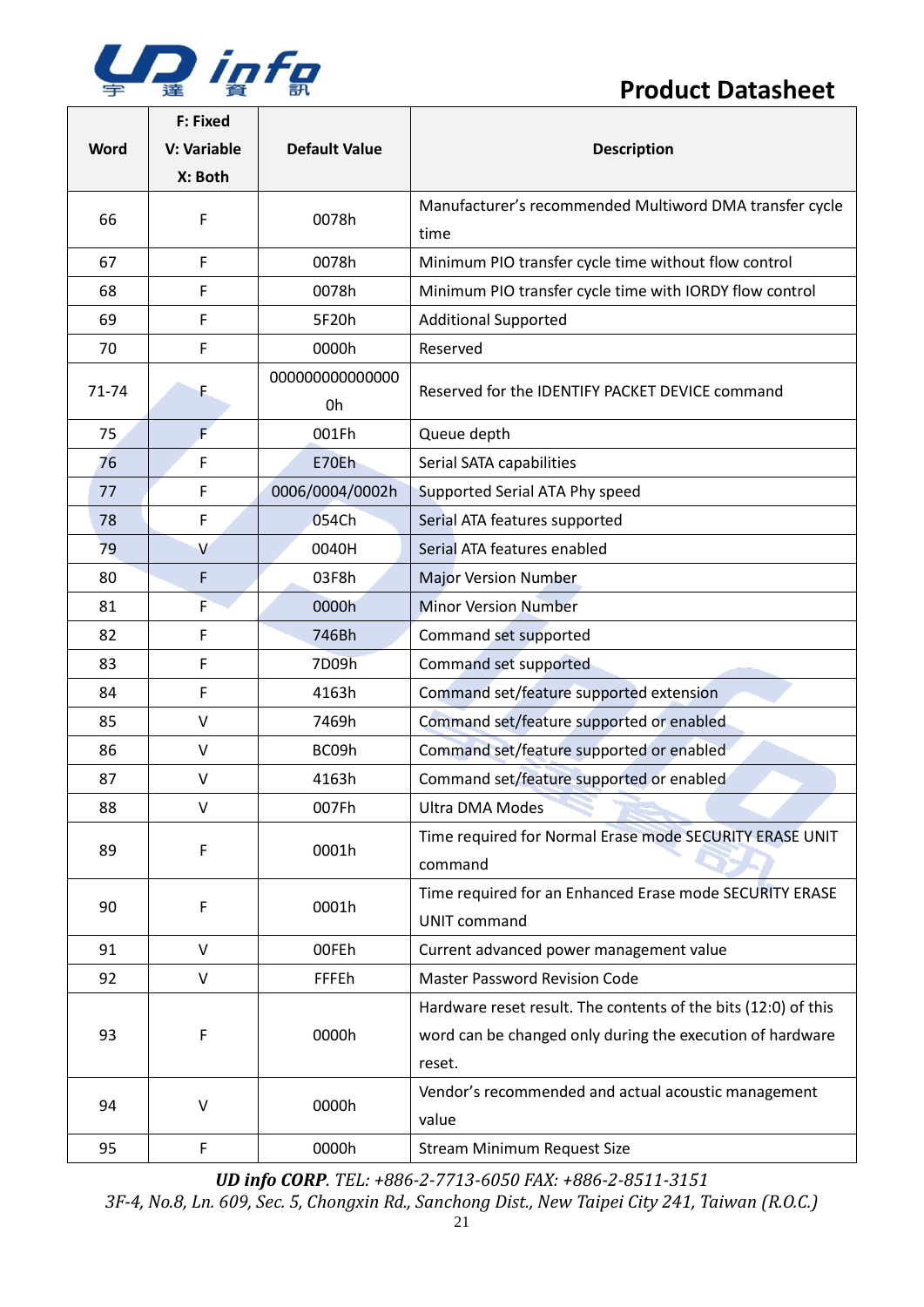

| <b>Word</b> | <b>F: Fixed</b><br>V: Variable<br>X: Both | <b>Default Value</b> | <b>Description</b>                                                                                                                    |  |
|-------------|-------------------------------------------|----------------------|---------------------------------------------------------------------------------------------------------------------------------------|--|
| 66          | F                                         | 0078h                | Manufacturer's recommended Multiword DMA transfer cycle<br>time                                                                       |  |
| 67          | F                                         | 0078h                | Minimum PIO transfer cycle time without flow control                                                                                  |  |
| 68          | F                                         | 0078h                | Minimum PIO transfer cycle time with IORDY flow control                                                                               |  |
| 69          | F                                         | 5F20h                | <b>Additional Supported</b>                                                                                                           |  |
| 70          | F                                         | 0000h                | Reserved                                                                                                                              |  |
| 71-74       | F.                                        | 00000000000000<br>0h | Reserved for the IDENTIFY PACKET DEVICE command                                                                                       |  |
| 75          | F                                         | 001Fh                | Queue depth                                                                                                                           |  |
| 76          | F                                         | E70Eh                | Serial SATA capabilities                                                                                                              |  |
| 77          | F                                         | 0006/0004/0002h      | Supported Serial ATA Phy speed                                                                                                        |  |
| 78          | F                                         | 054Ch                | Serial ATA features supported                                                                                                         |  |
| 79          | $\vee$                                    | 0040H                | Serial ATA features enabled                                                                                                           |  |
| 80          | F                                         | 03F8h                | <b>Major Version Number</b>                                                                                                           |  |
| 81          | F                                         | 0000h                | <b>Minor Version Number</b>                                                                                                           |  |
| 82          | F                                         | 746Bh                | Command set supported                                                                                                                 |  |
| 83          | F                                         | 7D09h                | Command set supported                                                                                                                 |  |
| 84          | F                                         | 4163h                | Command set/feature supported extension                                                                                               |  |
| 85          | $\vee$                                    | 7469h                | Command set/feature supported or enabled                                                                                              |  |
| 86          | V                                         | BC09h                | Command set/feature supported or enabled                                                                                              |  |
| 87          | V                                         | 4163h                | Command set/feature supported or enabled                                                                                              |  |
| 88          | V                                         | 007Fh                | <b>Ultra DMA Modes</b>                                                                                                                |  |
| 89          | F                                         | 0001h                | Time required for Normal Erase mode SECURITY ERASE UNIT<br>command                                                                    |  |
| 90          | F                                         | 0001h                | Time required for an Enhanced Erase mode SECURITY ERASE<br><b>UNIT command</b>                                                        |  |
| 91          | $\vee$                                    | 00FEh                | Current advanced power management value                                                                                               |  |
| 92          | $\vee$                                    | <b>FFFEh</b>         | <b>Master Password Revision Code</b>                                                                                                  |  |
| 93          | F                                         | 0000h                | Hardware reset result. The contents of the bits (12:0) of this<br>word can be changed only during the execution of hardware<br>reset. |  |
| 94          | $\vee$                                    | 0000h                | Vendor's recommended and actual acoustic management<br>value                                                                          |  |
| 95          | F                                         | 0000h                | <b>Stream Minimum Request Size</b>                                                                                                    |  |

*UD info CORP. TEL: +886-2-7713-6050 FAX: +886-2-8511-3151*

*3F-4, No.8, Ln. 609, Sec. 5, Chongxin Rd., Sanchong Dist., New Taipei City 241, Taiwan (R.O.C.)*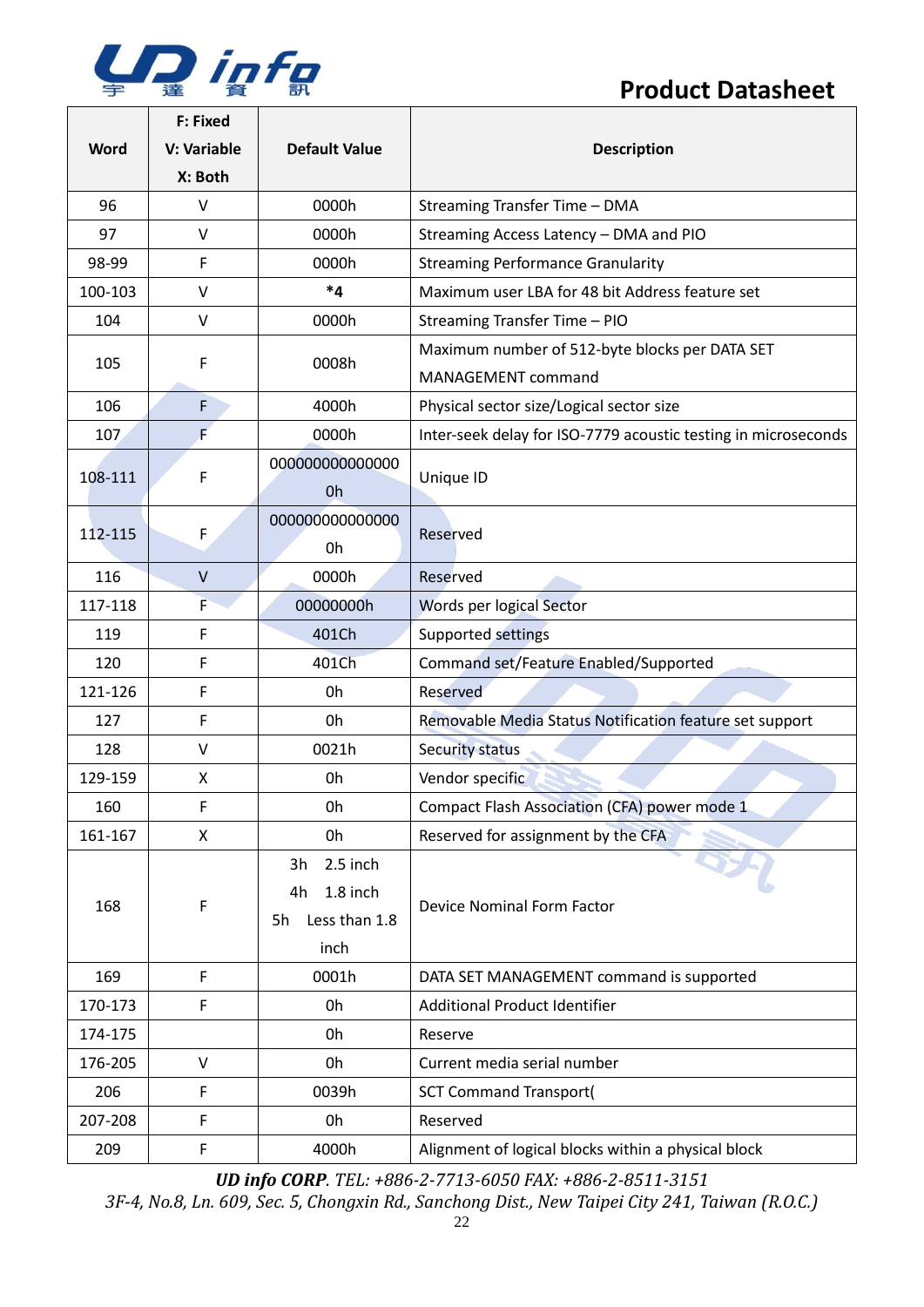

 $\Gamma$ 

## **Product Datasheet**

|         | F: Fixed     |                      |                                                                |
|---------|--------------|----------------------|----------------------------------------------------------------|
| Word    | V: Variable  | <b>Default Value</b> | <b>Description</b>                                             |
|         | X: Both      |                      |                                                                |
| 96      | V            | 0000h                | Streaming Transfer Time - DMA                                  |
| 97      | V            | 0000h                | Streaming Access Latency - DMA and PIO                         |
| 98-99   | F            | 0000h                | <b>Streaming Performance Granularity</b>                       |
| 100-103 | V            | $^*4$                | Maximum user LBA for 48 bit Address feature set                |
| 104     | V            | 0000h                | Streaming Transfer Time - PIO                                  |
|         |              |                      | Maximum number of 512-byte blocks per DATA SET                 |
| 105     | F            | 0008h                | MANAGEMENT command                                             |
| 106     | F            | 4000h                | Physical sector size/Logical sector size                       |
| 107     | F            | 0000h                | Inter-seek delay for ISO-7779 acoustic testing in microseconds |
| 108-111 | F            | 00000000000000       |                                                                |
|         |              | Oh                   | Unique ID                                                      |
|         |              | 00000000000000       | Reserved                                                       |
| 112-115 | F            | 0h                   |                                                                |
| 116     | $\mathsf{V}$ | 0000h                | Reserved                                                       |
| 117-118 | F            | 00000000h            | Words per logical Sector                                       |
| 119     | F            | 401Ch                | Supported settings                                             |
| 120     | F            | 401Ch                | Command set/Feature Enabled/Supported                          |
| 121-126 | F            | 0h                   | Reserved                                                       |
| 127     | F            | 0h                   | Removable Media Status Notification feature set support        |
| 128     | V            | 0021h                | Security status                                                |
| 129-159 | X            | 0h                   | Vendor specific                                                |
| 160     | F            | 0h                   | Compact Flash Association (CFA) power mode 1                   |
| 161-167 | X            | 0h                   | Reserved for assignment by the CFA                             |
|         |              | 2.5 inch<br>3h       |                                                                |
| 168     | F            | 1.8 inch<br>4h       | Device Nominal Form Factor                                     |
|         |              | Less than 1.8<br>5h  |                                                                |
|         |              | inch                 |                                                                |
| 169     | F            | 0001h                | DATA SET MANAGEMENT command is supported                       |
| 170-173 | F            | 0h                   | <b>Additional Product Identifier</b>                           |
| 174-175 |              | 0h                   | Reserve                                                        |
| 176-205 | $\vee$       | 0h                   | Current media serial number                                    |
| 206     | F            | 0039h                | <b>SCT Command Transport(</b>                                  |
| 207-208 | F            | 0h                   | Reserved                                                       |
| 209     | F            | 4000h                | Alignment of logical blocks within a physical block            |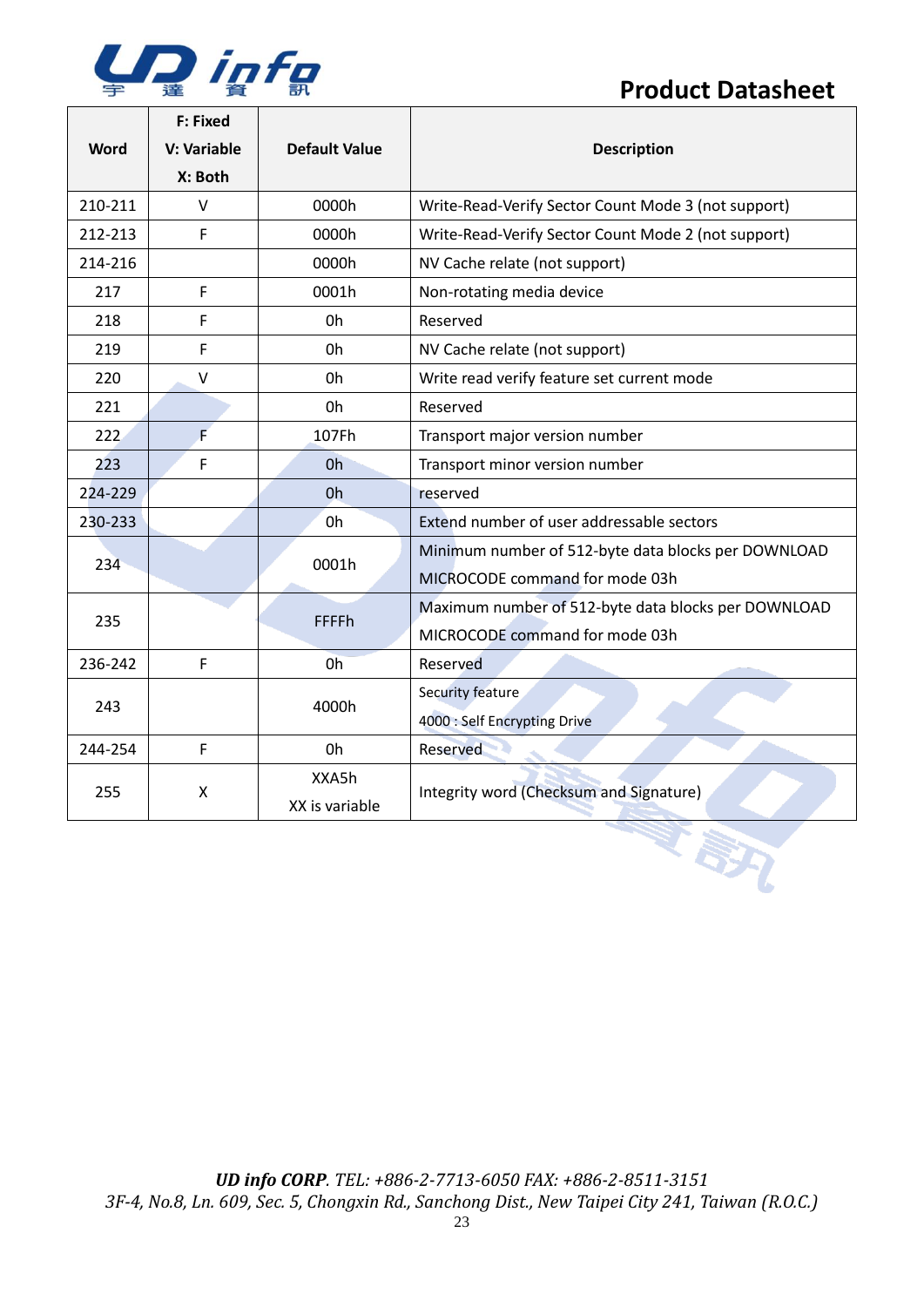

 $\Box$ 

## **Product Datasheet**

 $\overline{\phantom{a}}$ 

|             | F: Fixed    |                      | <b>Description</b>                                  |  |  |
|-------------|-------------|----------------------|-----------------------------------------------------|--|--|
| <b>Word</b> | V: Variable | <b>Default Value</b> |                                                     |  |  |
|             | X: Both     |                      |                                                     |  |  |
| 210-211     | $\vee$      | 0000h                | Write-Read-Verify Sector Count Mode 3 (not support) |  |  |
| 212-213     | F           | 0000h                | Write-Read-Verify Sector Count Mode 2 (not support) |  |  |
| 214-216     |             | 0000h                | NV Cache relate (not support)                       |  |  |
| 217         | F           | 0001h                | Non-rotating media device                           |  |  |
| 218         | F           | 0h                   | Reserved                                            |  |  |
| 219         | F           | 0h                   | NV Cache relate (not support)                       |  |  |
| 220         | V           | 0h                   | Write read verify feature set current mode          |  |  |
| 221         |             | 0h                   | Reserved                                            |  |  |
| 222         | F           | 107Fh                | Transport major version number                      |  |  |
| 223         | F           | 0h                   | Transport minor version number                      |  |  |
| 224-229     |             | 0 <sub>h</sub>       | reserved                                            |  |  |
| 230-233     |             | 0h                   | Extend number of user addressable sectors           |  |  |
| 234         |             | 0001h                | Minimum number of 512-byte data blocks per DOWNLOAD |  |  |
|             |             |                      | MICROCODE command for mode 03h                      |  |  |
| 235         |             | <b>FFFFh</b>         | Maximum number of 512-byte data blocks per DOWNLOAD |  |  |
|             |             |                      | MICROCODE command for mode 03h                      |  |  |
| 236-242     | F           | 0 <sub>h</sub>       | Reserved                                            |  |  |
| 243         |             | 4000h                | Security feature                                    |  |  |
|             |             |                      | 4000 : Self Encrypting Drive                        |  |  |
| 244-254     | F           | 0h                   | Reserved                                            |  |  |
|             | X           | XXA5h                | Integrity word (Checksum and Signature)             |  |  |
| 255         |             | XX is variable       |                                                     |  |  |
|             |             |                      | IRX                                                 |  |  |
|             |             |                      |                                                     |  |  |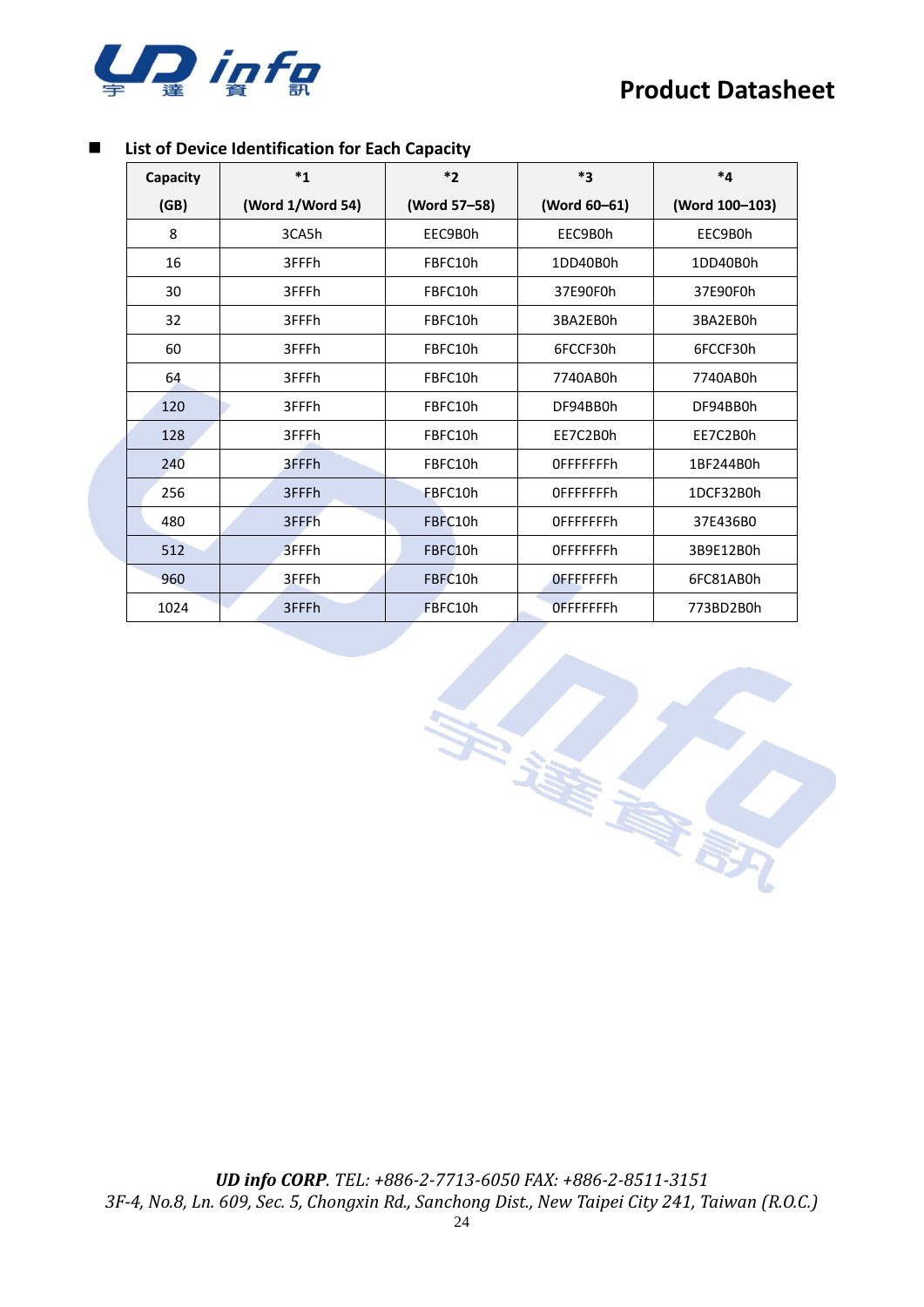

#### ◼ **List of Device Identification for Each Capacity**

| Capacity | $*_{1}$          | $*_{2}$      | $*_{3}$           | *4             |  |
|----------|------------------|--------------|-------------------|----------------|--|
| (GB)     | (Word 1/Word 54) | (Word 57-58) | (Word 60-61)      | (Word 100-103) |  |
| 8        | 3CA5h            | EEC9B0h      | EEC9B0h           | EEC9B0h        |  |
| 16       | 3FFFh            | FBFC10h      | 1DD40B0h          | 1DD40B0h       |  |
| 30       | 3FFFh            | FBFC10h      | 37E90F0h          | 37E90F0h       |  |
| 32       | 3FFFh            | FBFC10h      | 3BA2EB0h          | 3BA2EB0h       |  |
| 60       | 3FFFh            | FBFC10h      | 6FCCF30h          | 6FCCF30h       |  |
| 64       | 3FFFh            | FBFC10h      | 7740AB0h          | 7740AB0h       |  |
| 120      | 3FFFh            | FBFC10h      | DF94BB0h          | DF94BB0h       |  |
| 128      | 3FFFh            | FBFC10h      | EE7C2B0h          | EE7C2B0h       |  |
| 240      | 3FFFh            | FBFC10h      | <b>OFFFFFFFFh</b> | 1BF244B0h      |  |
| 256      | 3FFFh            | FBFC10h      | <b>OFFFFFFFFh</b> | 1DCF32B0h      |  |
| 480      | 3FFFh            | FBFC10h      | <b>OFFFFFFFFh</b> | 37E436B0       |  |
| 512      | 3FFFh            | FBFC10h      | <b>OFFFFFFFFh</b> | 3B9E12B0h      |  |
| 960      | 3FFFh            | FBFC10h      | OFFFFFFFh         | 6FC81AB0h      |  |
| 1024     | 3FFFh            | FBFC10h      | <b>OFFFFFFFh</b>  | 773BD2B0h      |  |

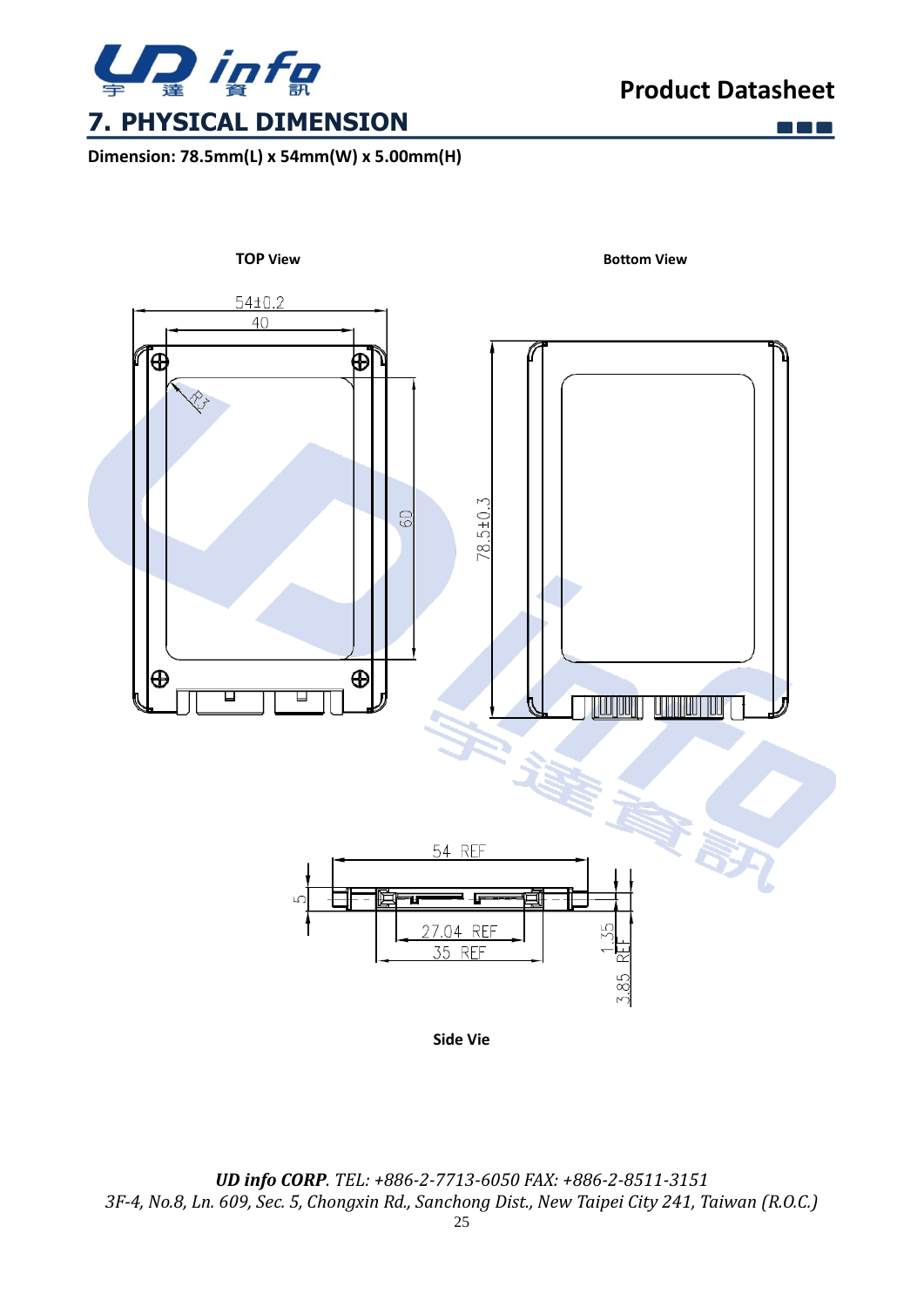

<span id="page-24-0"></span>**Dimension: 78.5mm(L) x 54mm(W) x 5.00mm(H)**

 $\Box$   $\Box$   $\Box$ 

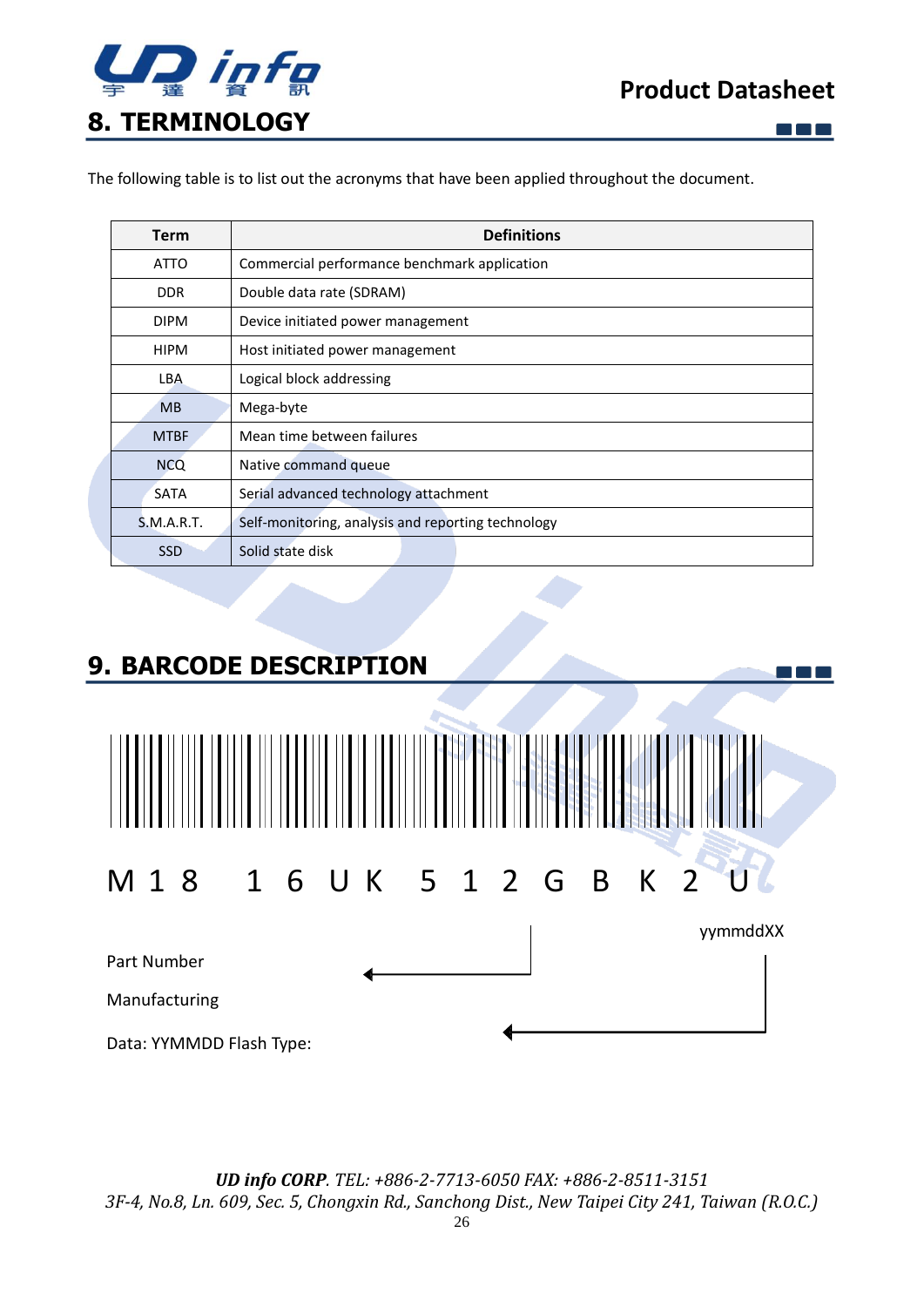

 $\Box$   $\Box$   $\Box$ 

 $\Box$   $\Box$   $\Box$ 

<span id="page-25-0"></span>The following table is to list out the acronyms that have been applied throughout the document.

| <b>Term</b>       | <b>Definitions</b>                                 |  |  |  |
|-------------------|----------------------------------------------------|--|--|--|
| <b>ATTO</b>       | Commercial performance benchmark application       |  |  |  |
| <b>DDR</b>        | Double data rate (SDRAM)                           |  |  |  |
| <b>DIPM</b>       | Device initiated power management                  |  |  |  |
| <b>HIPM</b>       | Host initiated power management                    |  |  |  |
| LBA               | Logical block addressing                           |  |  |  |
| <b>MB</b>         | Mega-byte                                          |  |  |  |
| <b>MTBF</b>       | Mean time between failures                         |  |  |  |
| <b>NCQ</b>        | Native command queue                               |  |  |  |
| <b>SATA</b>       | Serial advanced technology attachment              |  |  |  |
| <b>S.M.A.R.T.</b> | Self-monitoring, analysis and reporting technology |  |  |  |
| <b>SSD</b>        | Solid state disk                                   |  |  |  |

## <span id="page-25-1"></span>**9. BARCODE DESCRIPTION**